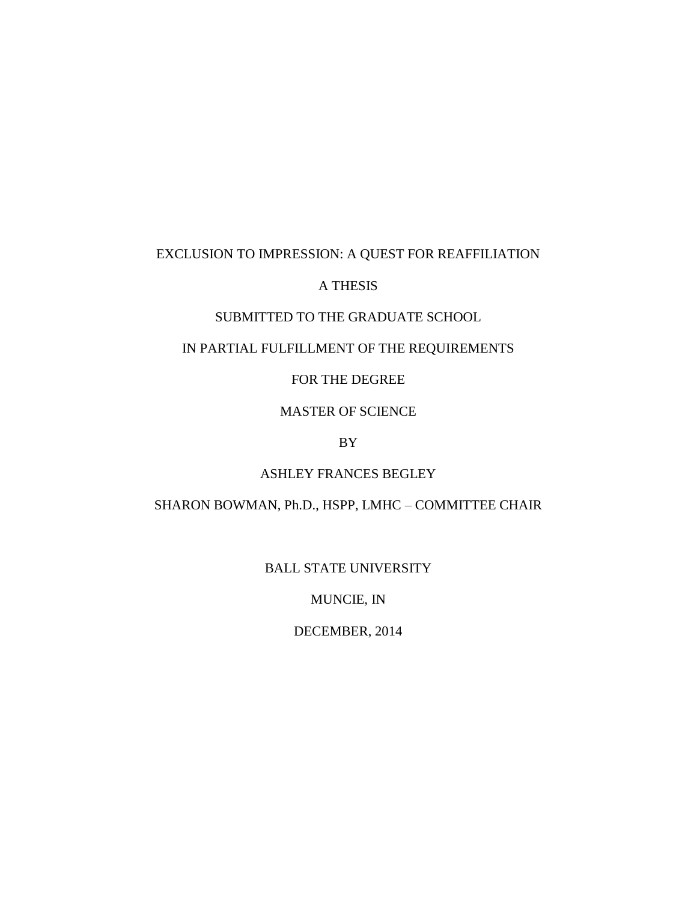## EXCLUSION TO IMPRESSION: A QUEST FOR REAFFILIATION

## A THESIS

## SUBMITTED TO THE GRADUATE SCHOOL

## IN PARTIAL FULFILLMENT OF THE REQUIREMENTS

### FOR THE DEGREE

## MASTER OF SCIENCE

## BY

### ASHLEY FRANCES BEGLEY

### SHARON BOWMAN, Ph.D., HSPP, LMHC – COMMITTEE CHAIR

### BALL STATE UNIVERSITY

## MUNCIE, IN

## DECEMBER, 2014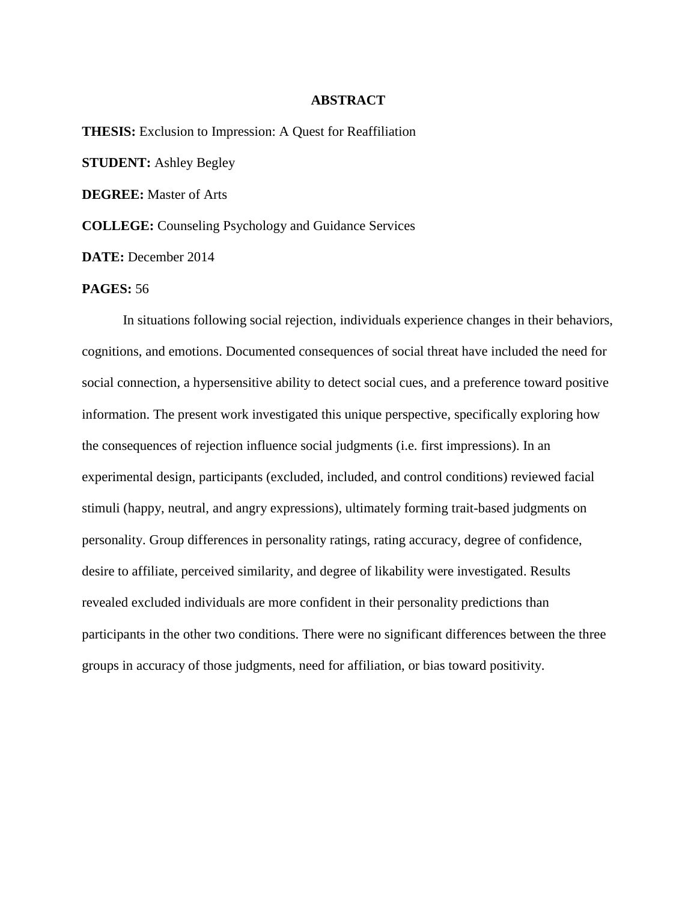#### **ABSTRACT**

**THESIS:** Exclusion to Impression: A Quest for Reaffiliation **STUDENT:** Ashley Begley **DEGREE:** Master of Arts **COLLEGE:** Counseling Psychology and Guidance Services **DATE:** December 2014

### **PAGES:** 56

In situations following social rejection, individuals experience changes in their behaviors, cognitions, and emotions. Documented consequences of social threat have included the need for social connection, a hypersensitive ability to detect social cues, and a preference toward positive information. The present work investigated this unique perspective, specifically exploring how the consequences of rejection influence social judgments (i.e. first impressions). In an experimental design, participants (excluded, included, and control conditions) reviewed facial stimuli (happy, neutral, and angry expressions), ultimately forming trait-based judgments on personality. Group differences in personality ratings, rating accuracy, degree of confidence, desire to affiliate, perceived similarity, and degree of likability were investigated. Results revealed excluded individuals are more confident in their personality predictions than participants in the other two conditions. There were no significant differences between the three groups in accuracy of those judgments, need for affiliation, or bias toward positivity.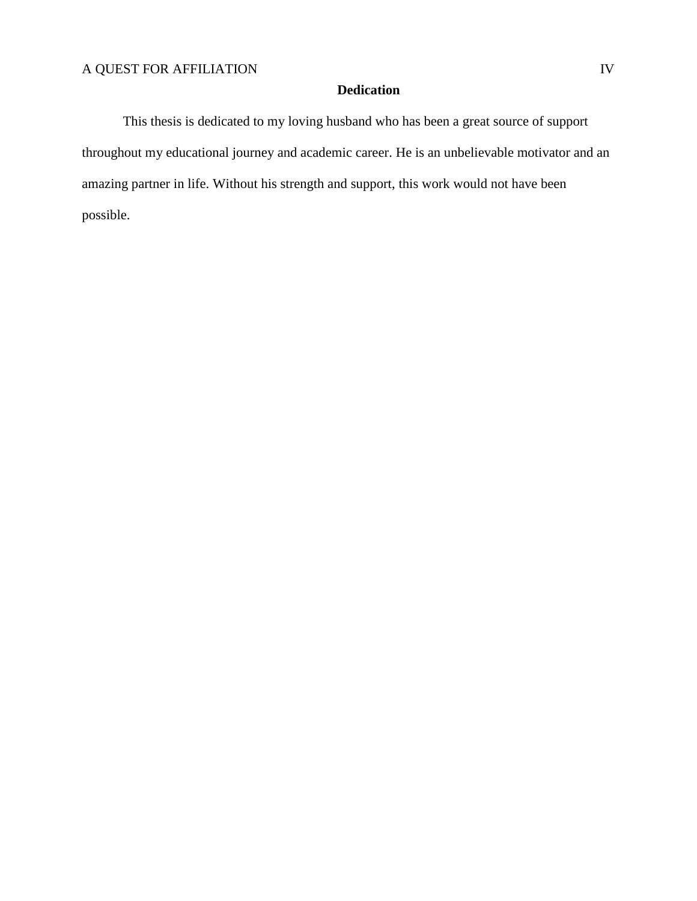## **Dedication**

This thesis is dedicated to my loving husband who has been a great source of support throughout my educational journey and academic career. He is an unbelievable motivator and an amazing partner in life. Without his strength and support, this work would not have been possible.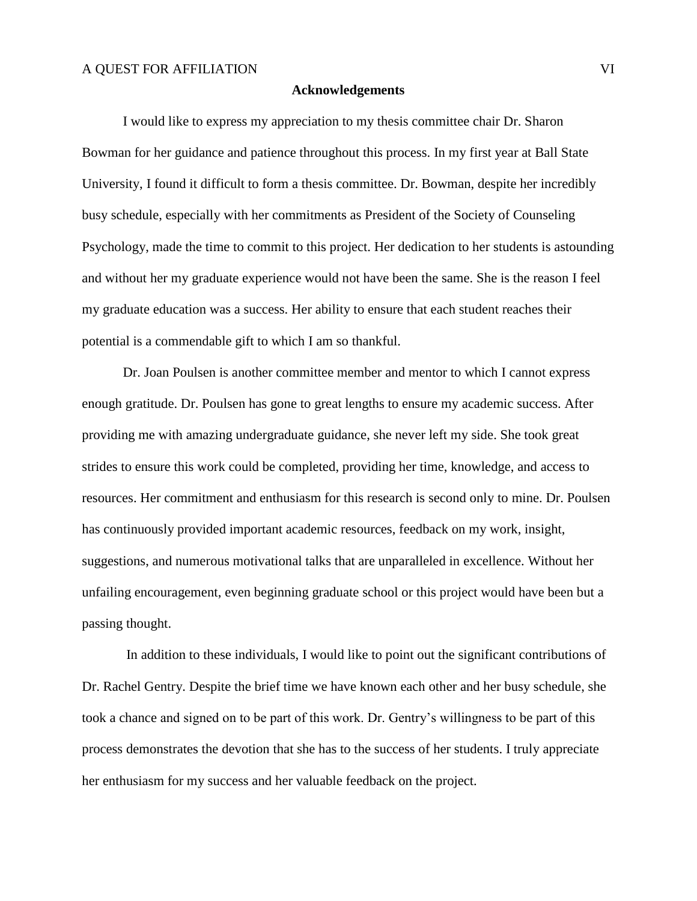#### **Acknowledgements**

I would like to express my appreciation to my thesis committee chair Dr. Sharon Bowman for her guidance and patience throughout this process. In my first year at Ball State University, I found it difficult to form a thesis committee. Dr. Bowman, despite her incredibly busy schedule, especially with her commitments as President of the Society of Counseling Psychology, made the time to commit to this project. Her dedication to her students is astounding and without her my graduate experience would not have been the same. She is the reason I feel my graduate education was a success. Her ability to ensure that each student reaches their potential is a commendable gift to which I am so thankful.

Dr. Joan Poulsen is another committee member and mentor to which I cannot express enough gratitude. Dr. Poulsen has gone to great lengths to ensure my academic success. After providing me with amazing undergraduate guidance, she never left my side. She took great strides to ensure this work could be completed, providing her time, knowledge, and access to resources. Her commitment and enthusiasm for this research is second only to mine. Dr. Poulsen has continuously provided important academic resources, feedback on my work, insight, suggestions, and numerous motivational talks that are unparalleled in excellence. Without her unfailing encouragement, even beginning graduate school or this project would have been but a passing thought.

In addition to these individuals, I would like to point out the significant contributions of Dr. Rachel Gentry. Despite the brief time we have known each other and her busy schedule, she took a chance and signed on to be part of this work. Dr. Gentry's willingness to be part of this process demonstrates the devotion that she has to the success of her students. I truly appreciate her enthusiasm for my success and her valuable feedback on the project.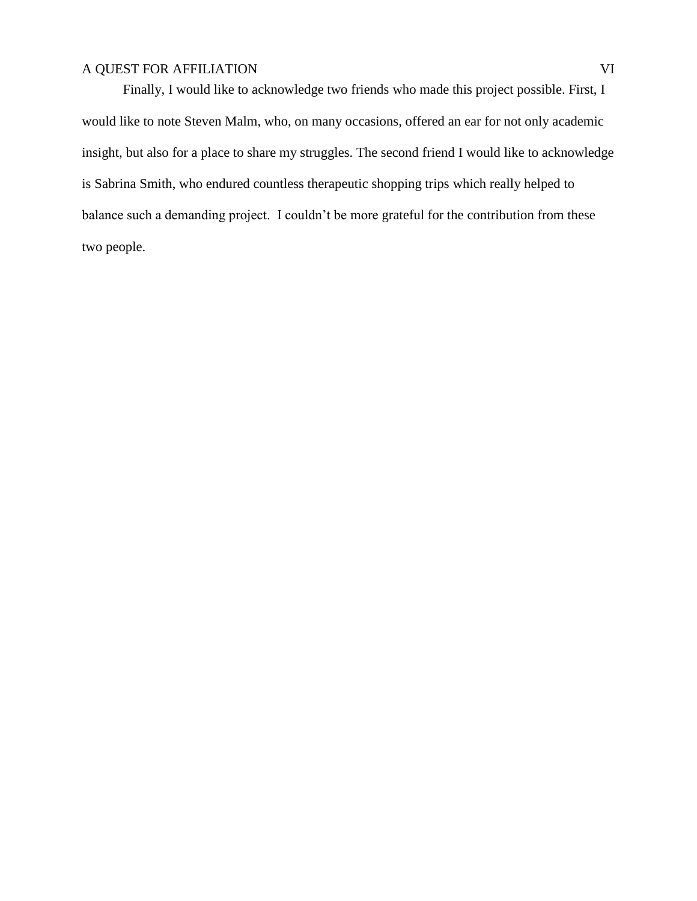Finally, I would like to acknowledge two friends who made this project possible. First, I would like to note Steven Malm, who, on many occasions, offered an ear for not only academic insight, but also for a place to share my struggles. The second friend I would like to acknowledge is Sabrina Smith, who endured countless therapeutic shopping trips which really helped to balance such a demanding project. I couldn't be more grateful for the contribution from these two people.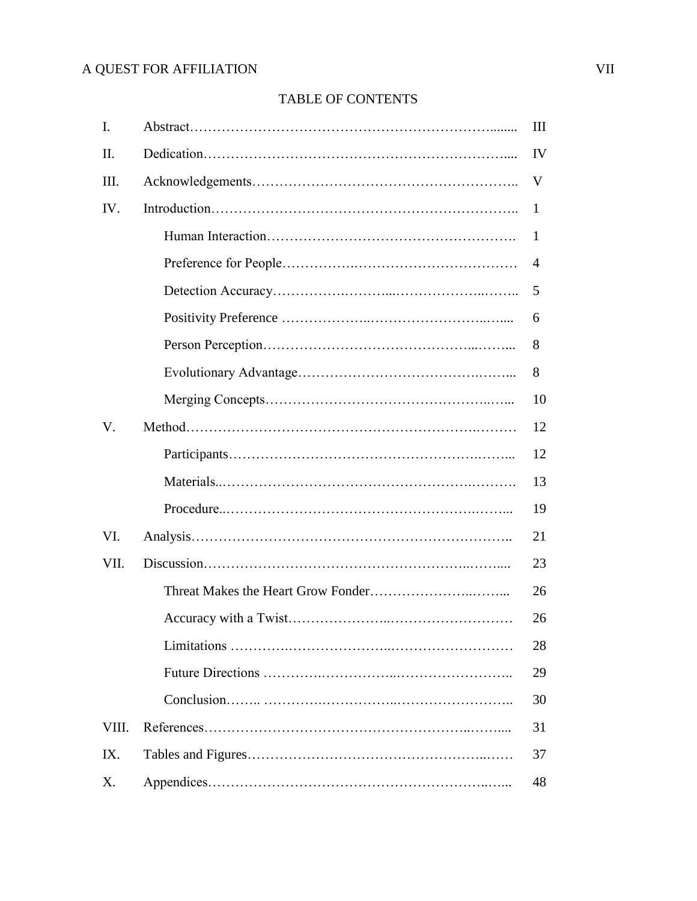## TABLE OF CONTENTS

| I.    | Ш  |
|-------|----|
| II.   | IV |
| Ш.    | V  |
| IV.   | 1  |
|       | 1  |
|       | 4  |
|       | 5  |
|       | 6  |
|       | 8  |
|       | 8  |
|       | 10 |
| V.    | 12 |
|       | 12 |
|       | 13 |
|       | 19 |
| VI.   | 21 |
| VII.  | 23 |
|       | 26 |
|       | 26 |
|       | 28 |
|       | 29 |
|       | 30 |
| VIII. | 31 |
| IX.   | 37 |
| X.    | 48 |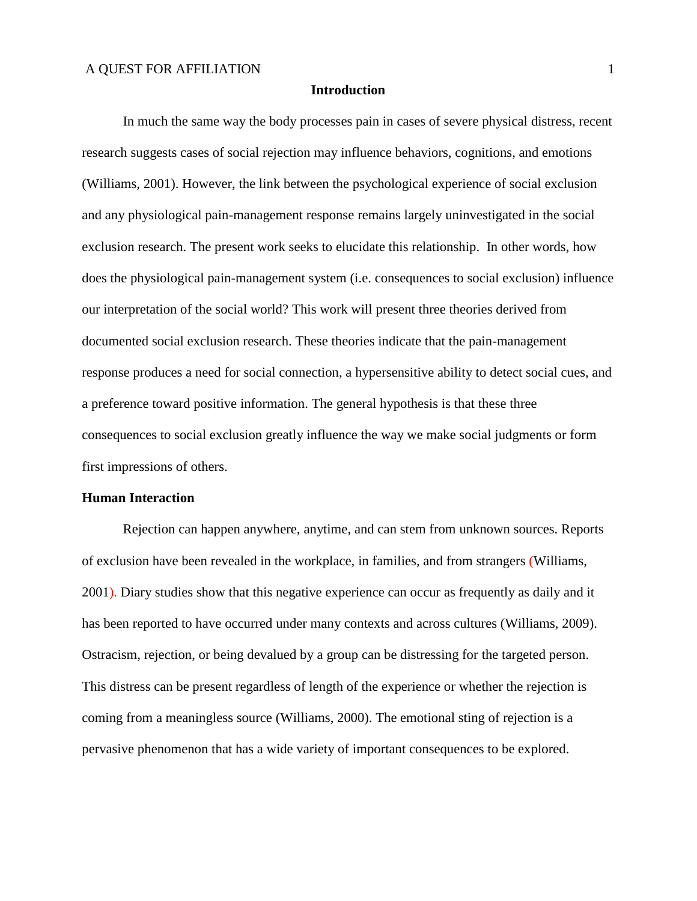#### **Introduction**

In much the same way the body processes pain in cases of severe physical distress, recent research suggests cases of social rejection may influence behaviors, cognitions, and emotions (Williams, 2001). However, the link between the psychological experience of social exclusion and any physiological pain-management response remains largely uninvestigated in the social exclusion research. The present work seeks to elucidate this relationship. In other words, how does the physiological pain-management system (i.e. consequences to social exclusion) influence our interpretation of the social world? This work will present three theories derived from documented social exclusion research. These theories indicate that the pain-management response produces a need for social connection, a hypersensitive ability to detect social cues, and a preference toward positive information. The general hypothesis is that these three consequences to social exclusion greatly influence the way we make social judgments or form first impressions of others.

#### **Human Interaction**

Rejection can happen anywhere, anytime, and can stem from unknown sources. Reports of exclusion have been revealed in the workplace, in families, and from strangers (Williams, 2001). Diary studies show that this negative experience can occur as frequently as daily and it has been reported to have occurred under many contexts and across cultures (Williams, 2009). Ostracism, rejection, or being devalued by a group can be distressing for the targeted person. This distress can be present regardless of length of the experience or whether the rejection is coming from a meaningless source (Williams, 2000). The emotional sting of rejection is a pervasive phenomenon that has a wide variety of important consequences to be explored.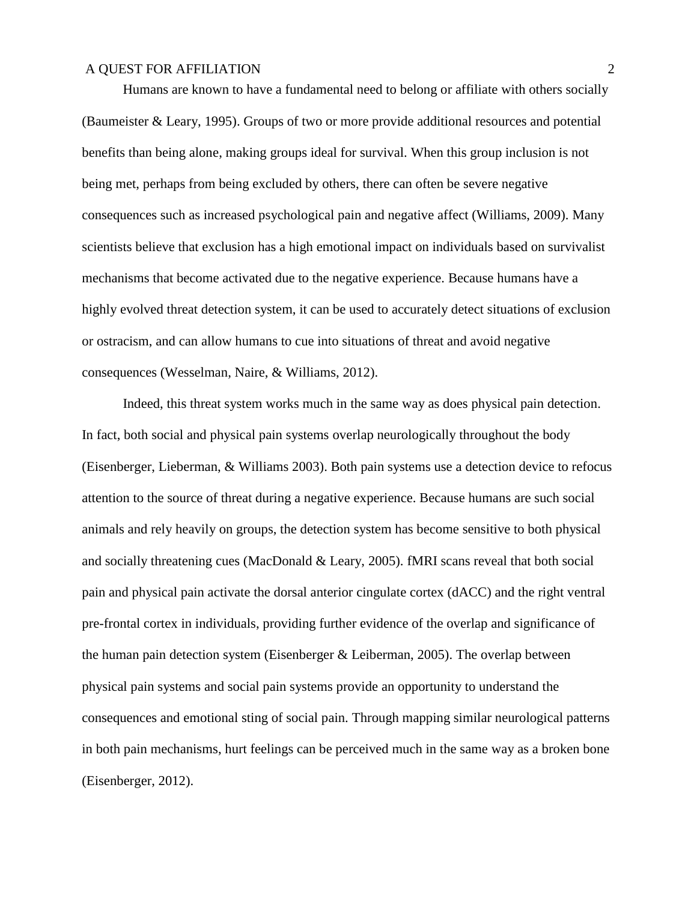Humans are known to have a fundamental need to belong or affiliate with others socially (Baumeister & Leary, 1995). Groups of two or more provide additional resources and potential benefits than being alone, making groups ideal for survival. When this group inclusion is not being met, perhaps from being excluded by others, there can often be severe negative consequences such as increased psychological pain and negative affect (Williams, 2009). Many scientists believe that exclusion has a high emotional impact on individuals based on survivalist mechanisms that become activated due to the negative experience. Because humans have a highly evolved threat detection system, it can be used to accurately detect situations of exclusion or ostracism, and can allow humans to cue into situations of threat and avoid negative consequences (Wesselman, Naire, & Williams, 2012).

Indeed, this threat system works much in the same way as does physical pain detection. In fact, both social and physical pain systems overlap neurologically throughout the body (Eisenberger, Lieberman, & Williams 2003). Both pain systems use a detection device to refocus attention to the source of threat during a negative experience. Because humans are such social animals and rely heavily on groups, the detection system has become sensitive to both physical and socially threatening cues (MacDonald & Leary, 2005). fMRI scans reveal that both social pain and physical pain activate the dorsal anterior cingulate cortex (dACC) and the right ventral pre-frontal cortex in individuals, providing further evidence of the overlap and significance of the human pain detection system (Eisenberger & Leiberman, 2005). The overlap between physical pain systems and social pain systems provide an opportunity to understand the consequences and emotional sting of social pain. Through mapping similar neurological patterns in both pain mechanisms, hurt feelings can be perceived much in the same way as a broken bone (Eisenberger, 2012).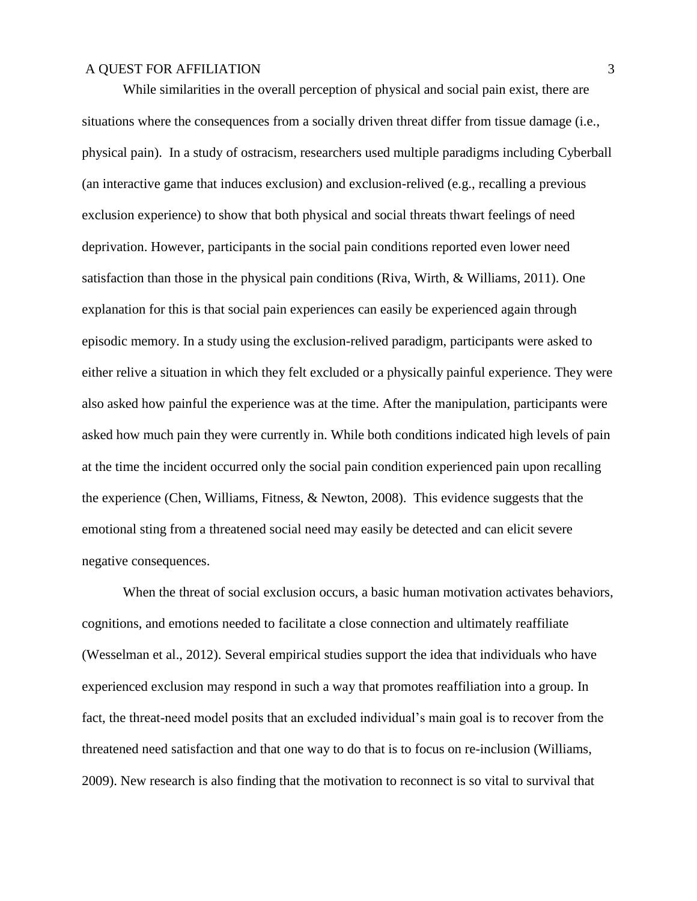While similarities in the overall perception of physical and social pain exist, there are situations where the consequences from a socially driven threat differ from tissue damage (i.e., physical pain). In a study of ostracism, researchers used multiple paradigms including Cyberball (an interactive game that induces exclusion) and exclusion-relived (e.g., recalling a previous exclusion experience) to show that both physical and social threats thwart feelings of need deprivation. However, participants in the social pain conditions reported even lower need satisfaction than those in the physical pain conditions (Riva, Wirth, & Williams, 2011). One explanation for this is that social pain experiences can easily be experienced again through episodic memory. In a study using the exclusion-relived paradigm, participants were asked to either relive a situation in which they felt excluded or a physically painful experience. They were also asked how painful the experience was at the time. After the manipulation, participants were asked how much pain they were currently in. While both conditions indicated high levels of pain at the time the incident occurred only the social pain condition experienced pain upon recalling the experience (Chen, Williams, Fitness, & Newton, 2008). This evidence suggests that the emotional sting from a threatened social need may easily be detected and can elicit severe negative consequences.

When the threat of social exclusion occurs, a basic human motivation activates behaviors, cognitions, and emotions needed to facilitate a close connection and ultimately reaffiliate (Wesselman et al., 2012). Several empirical studies support the idea that individuals who have experienced exclusion may respond in such a way that promotes reaffiliation into a group. In fact, the threat-need model posits that an excluded individual's main goal is to recover from the threatened need satisfaction and that one way to do that is to focus on re-inclusion (Williams, 2009). New research is also finding that the motivation to reconnect is so vital to survival that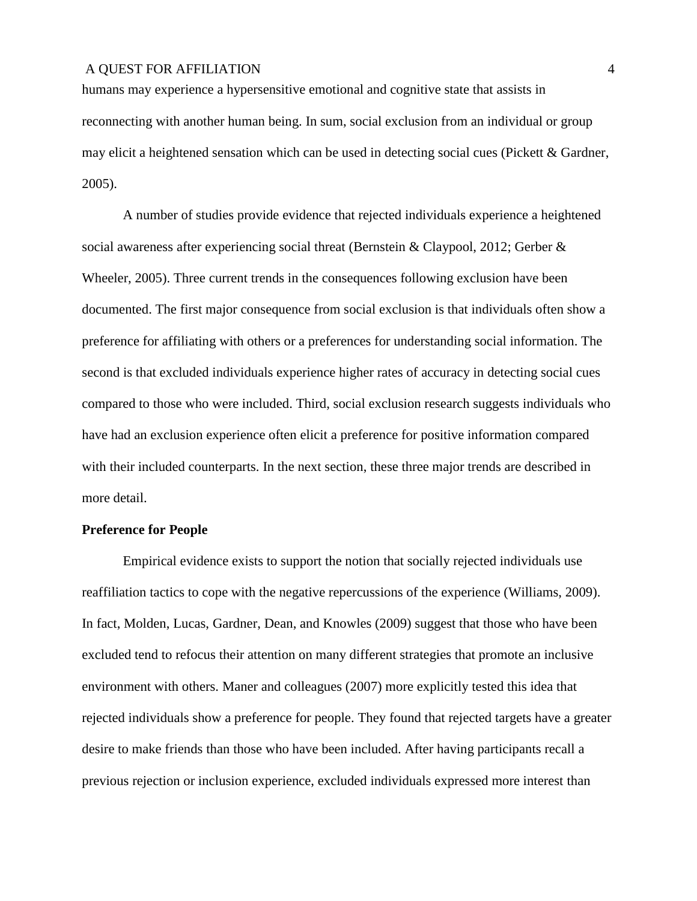humans may experience a hypersensitive emotional and cognitive state that assists in reconnecting with another human being. In sum, social exclusion from an individual or group may elicit a heightened sensation which can be used in detecting social cues (Pickett & Gardner, 2005).

A number of studies provide evidence that rejected individuals experience a heightened social awareness after experiencing social threat (Bernstein & Claypool, 2012; Gerber & Wheeler, 2005). Three current trends in the consequences following exclusion have been documented. The first major consequence from social exclusion is that individuals often show a preference for affiliating with others or a preferences for understanding social information. The second is that excluded individuals experience higher rates of accuracy in detecting social cues compared to those who were included. Third, social exclusion research suggests individuals who have had an exclusion experience often elicit a preference for positive information compared with their included counterparts. In the next section, these three major trends are described in more detail.

#### **Preference for People**

Empirical evidence exists to support the notion that socially rejected individuals use reaffiliation tactics to cope with the negative repercussions of the experience (Williams, 2009). In fact, Molden, Lucas, Gardner, Dean, and Knowles (2009) suggest that those who have been excluded tend to refocus their attention on many different strategies that promote an inclusive environment with others. Maner and colleagues (2007) more explicitly tested this idea that rejected individuals show a preference for people. They found that rejected targets have a greater desire to make friends than those who have been included. After having participants recall a previous rejection or inclusion experience, excluded individuals expressed more interest than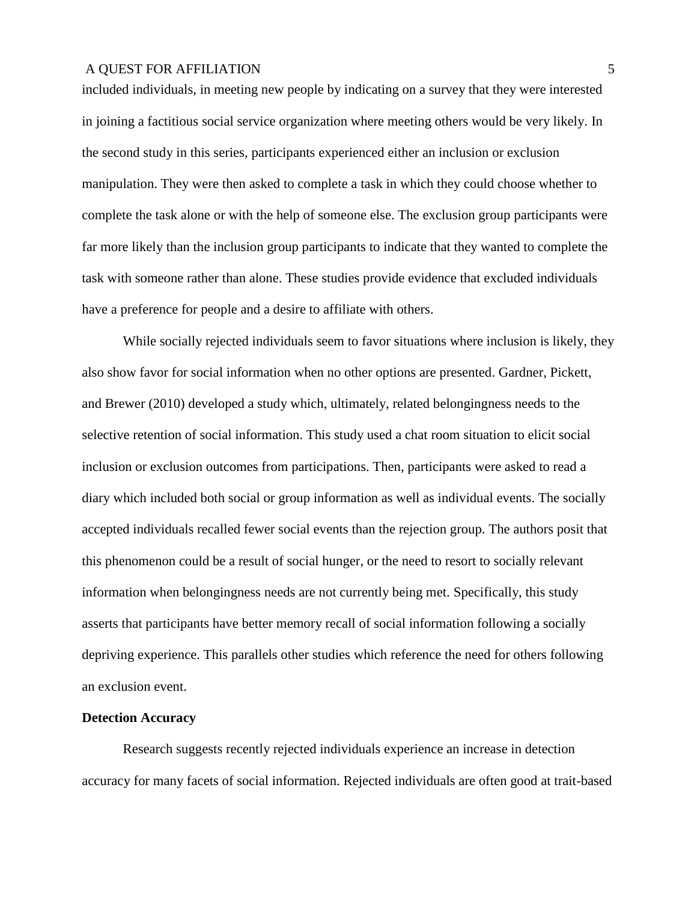included individuals, in meeting new people by indicating on a survey that they were interested in joining a factitious social service organization where meeting others would be very likely. In the second study in this series, participants experienced either an inclusion or exclusion manipulation. They were then asked to complete a task in which they could choose whether to complete the task alone or with the help of someone else. The exclusion group participants were far more likely than the inclusion group participants to indicate that they wanted to complete the task with someone rather than alone. These studies provide evidence that excluded individuals have a preference for people and a desire to affiliate with others.

While socially rejected individuals seem to favor situations where inclusion is likely, they also show favor for social information when no other options are presented. Gardner, Pickett, and Brewer (2010) developed a study which, ultimately, related belongingness needs to the selective retention of social information. This study used a chat room situation to elicit social inclusion or exclusion outcomes from participations. Then, participants were asked to read a diary which included both social or group information as well as individual events. The socially accepted individuals recalled fewer social events than the rejection group. The authors posit that this phenomenon could be a result of social hunger, or the need to resort to socially relevant information when belongingness needs are not currently being met. Specifically, this study asserts that participants have better memory recall of social information following a socially depriving experience. This parallels other studies which reference the need for others following an exclusion event.

#### **Detection Accuracy**

Research suggests recently rejected individuals experience an increase in detection accuracy for many facets of social information. Rejected individuals are often good at trait-based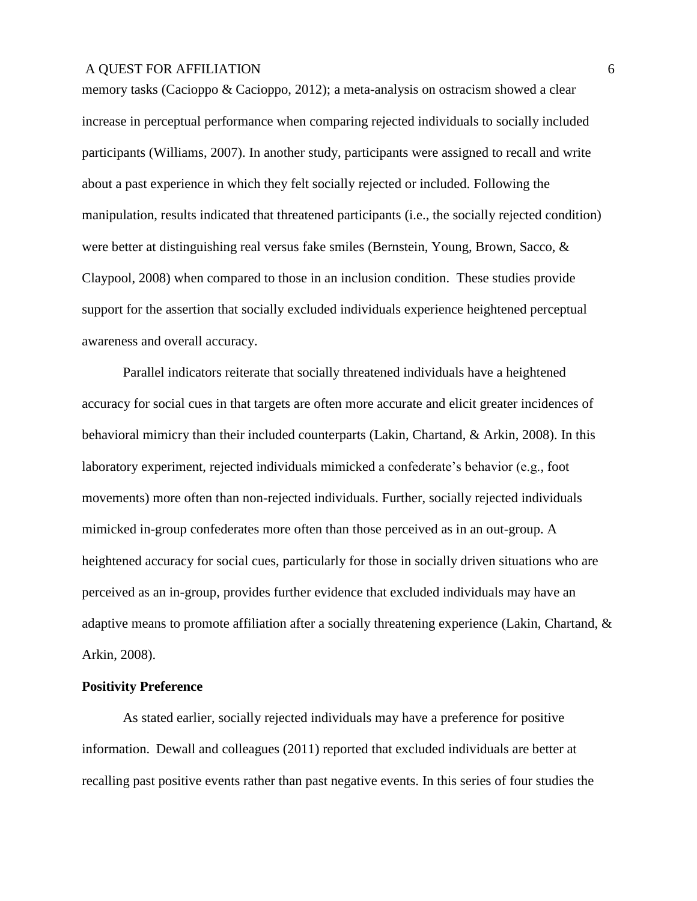memory tasks (Cacioppo & Cacioppo, 2012); a meta-analysis on ostracism showed a clear increase in perceptual performance when comparing rejected individuals to socially included participants (Williams, 2007). In another study, participants were assigned to recall and write about a past experience in which they felt socially rejected or included. Following the manipulation, results indicated that threatened participants (i.e., the socially rejected condition) were better at distinguishing real versus fake smiles (Bernstein, Young, Brown, Sacco, & Claypool, 2008) when compared to those in an inclusion condition. These studies provide support for the assertion that socially excluded individuals experience heightened perceptual awareness and overall accuracy.

Parallel indicators reiterate that socially threatened individuals have a heightened accuracy for social cues in that targets are often more accurate and elicit greater incidences of behavioral mimicry than their included counterparts (Lakin, Chartand, & Arkin, 2008). In this laboratory experiment, rejected individuals mimicked a confederate's behavior (e.g., foot movements) more often than non-rejected individuals. Further, socially rejected individuals mimicked in-group confederates more often than those perceived as in an out-group. A heightened accuracy for social cues, particularly for those in socially driven situations who are perceived as an in-group, provides further evidence that excluded individuals may have an adaptive means to promote affiliation after a socially threatening experience (Lakin, Chartand, & Arkin, 2008).

#### **Positivity Preference**

As stated earlier, socially rejected individuals may have a preference for positive information. Dewall and colleagues (2011) reported that excluded individuals are better at recalling past positive events rather than past negative events. In this series of four studies the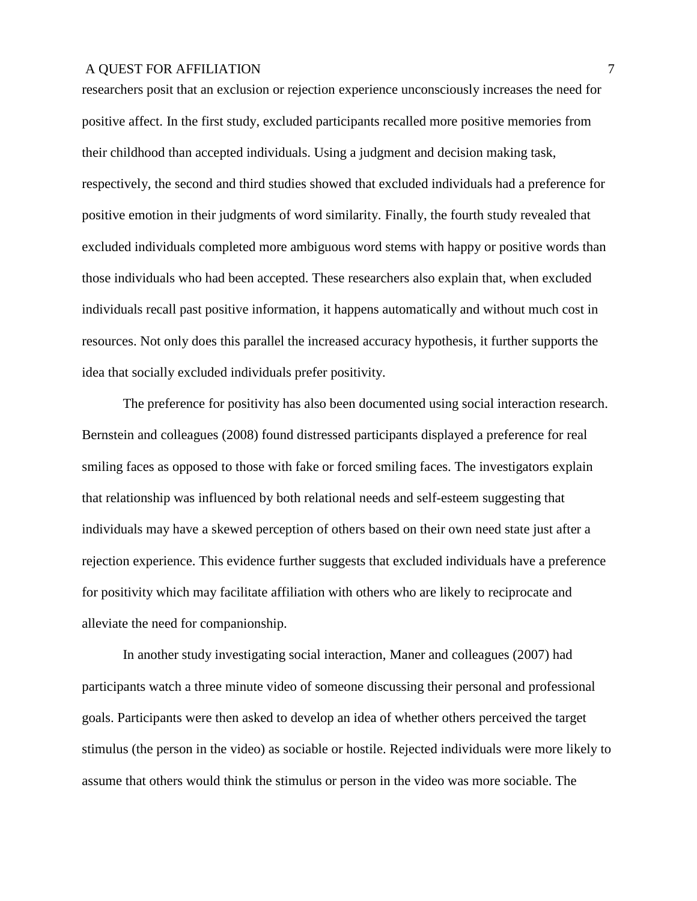researchers posit that an exclusion or rejection experience unconsciously increases the need for positive affect. In the first study, excluded participants recalled more positive memories from their childhood than accepted individuals. Using a judgment and decision making task, respectively, the second and third studies showed that excluded individuals had a preference for positive emotion in their judgments of word similarity. Finally, the fourth study revealed that excluded individuals completed more ambiguous word stems with happy or positive words than those individuals who had been accepted. These researchers also explain that, when excluded individuals recall past positive information, it happens automatically and without much cost in resources. Not only does this parallel the increased accuracy hypothesis, it further supports the idea that socially excluded individuals prefer positivity.

The preference for positivity has also been documented using social interaction research. Bernstein and colleagues (2008) found distressed participants displayed a preference for real smiling faces as opposed to those with fake or forced smiling faces. The investigators explain that relationship was influenced by both relational needs and self-esteem suggesting that individuals may have a skewed perception of others based on their own need state just after a rejection experience. This evidence further suggests that excluded individuals have a preference for positivity which may facilitate affiliation with others who are likely to reciprocate and alleviate the need for companionship.

In another study investigating social interaction, Maner and colleagues (2007) had participants watch a three minute video of someone discussing their personal and professional goals. Participants were then asked to develop an idea of whether others perceived the target stimulus (the person in the video) as sociable or hostile. Rejected individuals were more likely to assume that others would think the stimulus or person in the video was more sociable. The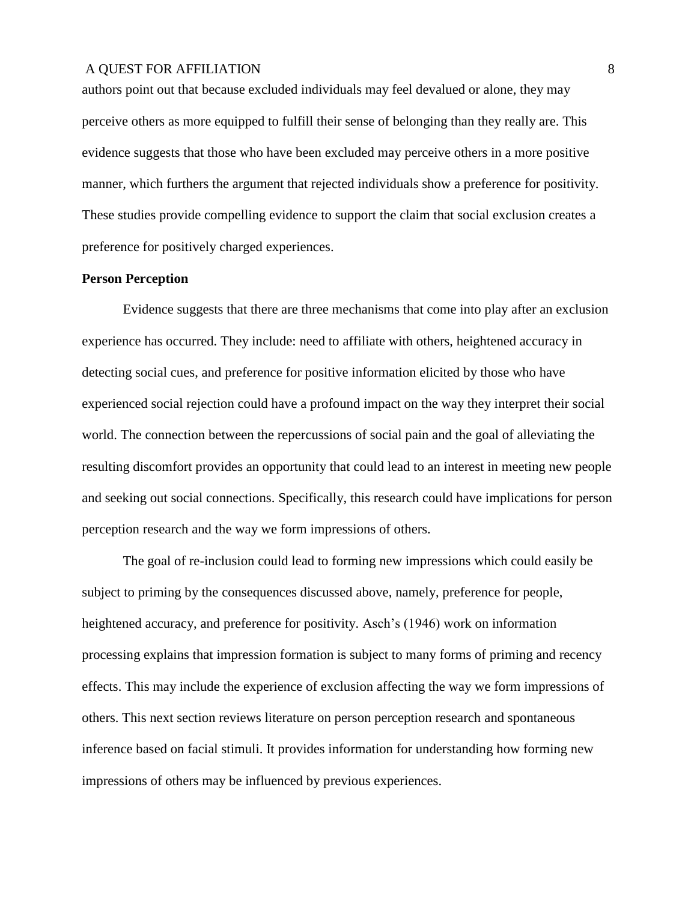authors point out that because excluded individuals may feel devalued or alone, they may perceive others as more equipped to fulfill their sense of belonging than they really are. This evidence suggests that those who have been excluded may perceive others in a more positive manner, which furthers the argument that rejected individuals show a preference for positivity. These studies provide compelling evidence to support the claim that social exclusion creates a preference for positively charged experiences.

#### **Person Perception**

Evidence suggests that there are three mechanisms that come into play after an exclusion experience has occurred. They include: need to affiliate with others, heightened accuracy in detecting social cues, and preference for positive information elicited by those who have experienced social rejection could have a profound impact on the way they interpret their social world. The connection between the repercussions of social pain and the goal of alleviating the resulting discomfort provides an opportunity that could lead to an interest in meeting new people and seeking out social connections. Specifically, this research could have implications for person perception research and the way we form impressions of others.

The goal of re-inclusion could lead to forming new impressions which could easily be subject to priming by the consequences discussed above, namely, preference for people, heightened accuracy, and preference for positivity. Asch's (1946) work on information processing explains that impression formation is subject to many forms of priming and recency effects. This may include the experience of exclusion affecting the way we form impressions of others. This next section reviews literature on person perception research and spontaneous inference based on facial stimuli. It provides information for understanding how forming new impressions of others may be influenced by previous experiences.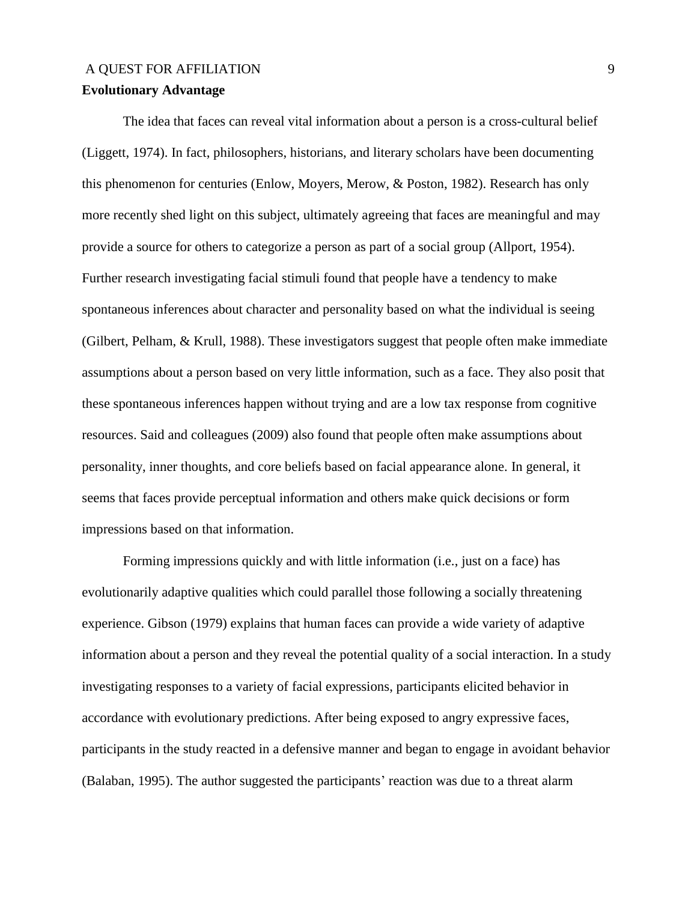# A OUEST FOR AFFILIATION 9 **Evolutionary Advantage**

The idea that faces can reveal vital information about a person is a cross-cultural belief (Liggett, 1974). In fact, philosophers, historians, and literary scholars have been documenting this phenomenon for centuries (Enlow, Moyers, Merow, & Poston, 1982). Research has only more recently shed light on this subject, ultimately agreeing that faces are meaningful and may provide a source for others to categorize a person as part of a social group (Allport, 1954). Further research investigating facial stimuli found that people have a tendency to make spontaneous inferences about character and personality based on what the individual is seeing (Gilbert, Pelham, & Krull, 1988). These investigators suggest that people often make immediate assumptions about a person based on very little information, such as a face. They also posit that these spontaneous inferences happen without trying and are a low tax response from cognitive resources. Said and colleagues (2009) also found that people often make assumptions about personality, inner thoughts, and core beliefs based on facial appearance alone. In general, it seems that faces provide perceptual information and others make quick decisions or form impressions based on that information.

Forming impressions quickly and with little information (i.e., just on a face) has evolutionarily adaptive qualities which could parallel those following a socially threatening experience. Gibson (1979) explains that human faces can provide a wide variety of adaptive information about a person and they reveal the potential quality of a social interaction. In a study investigating responses to a variety of facial expressions, participants elicited behavior in accordance with evolutionary predictions. After being exposed to angry expressive faces, participants in the study reacted in a defensive manner and began to engage in avoidant behavior (Balaban, 1995). The author suggested the participants' reaction was due to a threat alarm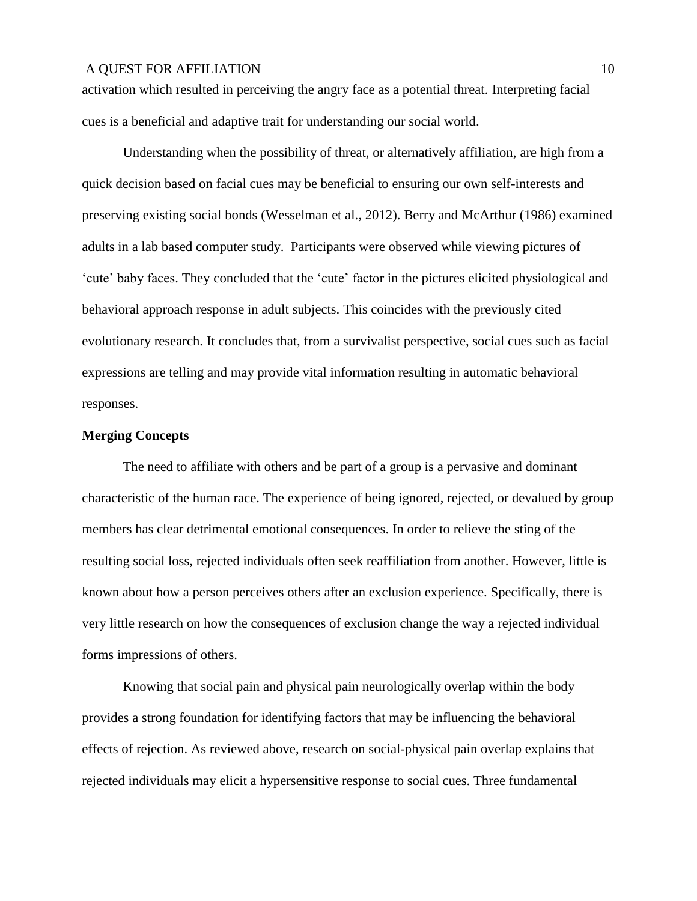activation which resulted in perceiving the angry face as a potential threat. Interpreting facial cues is a beneficial and adaptive trait for understanding our social world.

Understanding when the possibility of threat, or alternatively affiliation, are high from a quick decision based on facial cues may be beneficial to ensuring our own self-interests and preserving existing social bonds (Wesselman et al., 2012). Berry and McArthur (1986) examined adults in a lab based computer study. Participants were observed while viewing pictures of 'cute' baby faces. They concluded that the 'cute' factor in the pictures elicited physiological and behavioral approach response in adult subjects. This coincides with the previously cited evolutionary research. It concludes that, from a survivalist perspective, social cues such as facial expressions are telling and may provide vital information resulting in automatic behavioral responses.

#### **Merging Concepts**

The need to affiliate with others and be part of a group is a pervasive and dominant characteristic of the human race. The experience of being ignored, rejected, or devalued by group members has clear detrimental emotional consequences. In order to relieve the sting of the resulting social loss, rejected individuals often seek reaffiliation from another. However, little is known about how a person perceives others after an exclusion experience. Specifically, there is very little research on how the consequences of exclusion change the way a rejected individual forms impressions of others.

Knowing that social pain and physical pain neurologically overlap within the body provides a strong foundation for identifying factors that may be influencing the behavioral effects of rejection. As reviewed above, research on social-physical pain overlap explains that rejected individuals may elicit a hypersensitive response to social cues. Three fundamental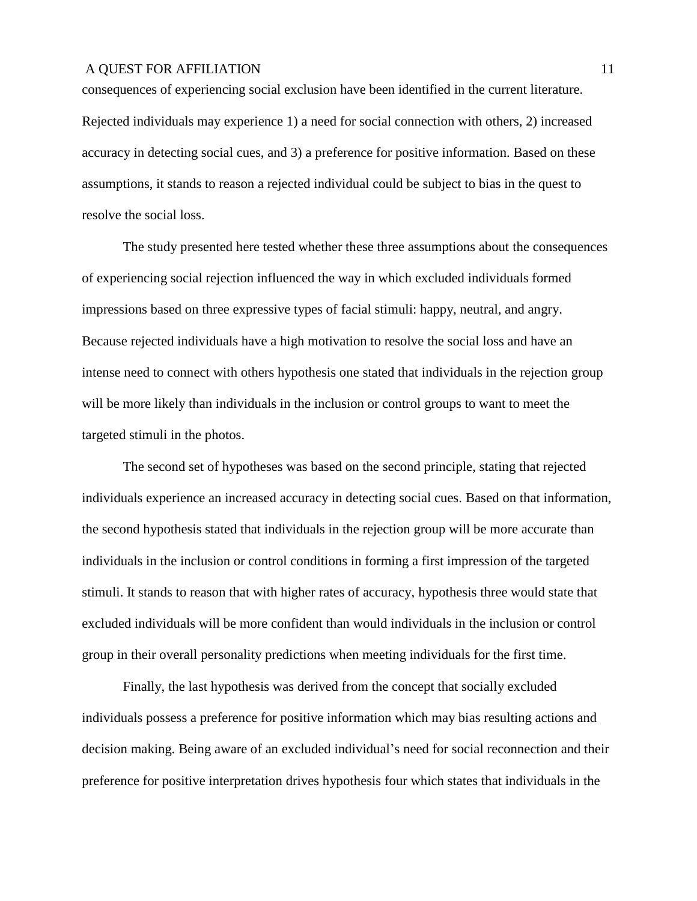consequences of experiencing social exclusion have been identified in the current literature. Rejected individuals may experience 1) a need for social connection with others, 2) increased accuracy in detecting social cues, and 3) a preference for positive information. Based on these assumptions, it stands to reason a rejected individual could be subject to bias in the quest to resolve the social loss.

The study presented here tested whether these three assumptions about the consequences of experiencing social rejection influenced the way in which excluded individuals formed impressions based on three expressive types of facial stimuli: happy, neutral, and angry. Because rejected individuals have a high motivation to resolve the social loss and have an intense need to connect with others hypothesis one stated that individuals in the rejection group will be more likely than individuals in the inclusion or control groups to want to meet the targeted stimuli in the photos.

The second set of hypotheses was based on the second principle, stating that rejected individuals experience an increased accuracy in detecting social cues. Based on that information, the second hypothesis stated that individuals in the rejection group will be more accurate than individuals in the inclusion or control conditions in forming a first impression of the targeted stimuli. It stands to reason that with higher rates of accuracy, hypothesis three would state that excluded individuals will be more confident than would individuals in the inclusion or control group in their overall personality predictions when meeting individuals for the first time.

Finally, the last hypothesis was derived from the concept that socially excluded individuals possess a preference for positive information which may bias resulting actions and decision making. Being aware of an excluded individual's need for social reconnection and their preference for positive interpretation drives hypothesis four which states that individuals in the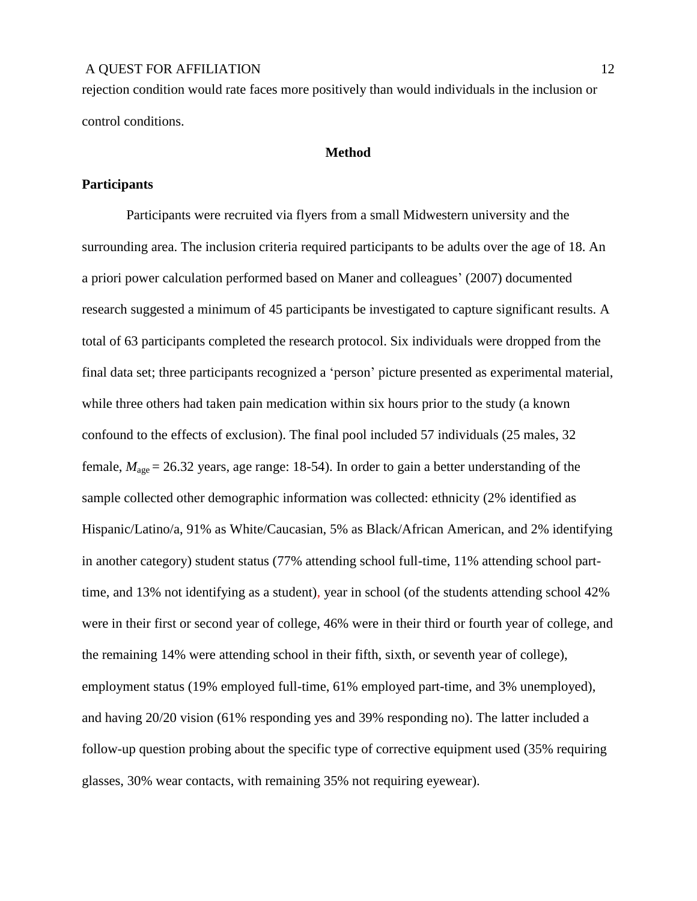rejection condition would rate faces more positively than would individuals in the inclusion or control conditions.

#### **Method**

#### **Participants**

Participants were recruited via flyers from a small Midwestern university and the surrounding area. The inclusion criteria required participants to be adults over the age of 18. An a priori power calculation performed based on Maner and colleagues' (2007) documented research suggested a minimum of 45 participants be investigated to capture significant results. A total of 63 participants completed the research protocol. Six individuals were dropped from the final data set; three participants recognized a 'person' picture presented as experimental material, while three others had taken pain medication within six hours prior to the study (a known confound to the effects of exclusion). The final pool included 57 individuals (25 males, 32 female,  $M_{\text{age}} = 26.32$  years, age range: 18-54). In order to gain a better understanding of the sample collected other demographic information was collected: ethnicity (2% identified as Hispanic/Latino/a, 91% as White/Caucasian, 5% as Black/African American, and 2% identifying in another category) student status (77% attending school full-time, 11% attending school parttime, and 13% not identifying as a student), year in school (of the students attending school 42% were in their first or second year of college, 46% were in their third or fourth year of college, and the remaining 14% were attending school in their fifth, sixth, or seventh year of college), employment status (19% employed full-time, 61% employed part-time, and 3% unemployed), and having 20/20 vision (61% responding yes and 39% responding no). The latter included a follow-up question probing about the specific type of corrective equipment used (35% requiring glasses, 30% wear contacts, with remaining 35% not requiring eyewear).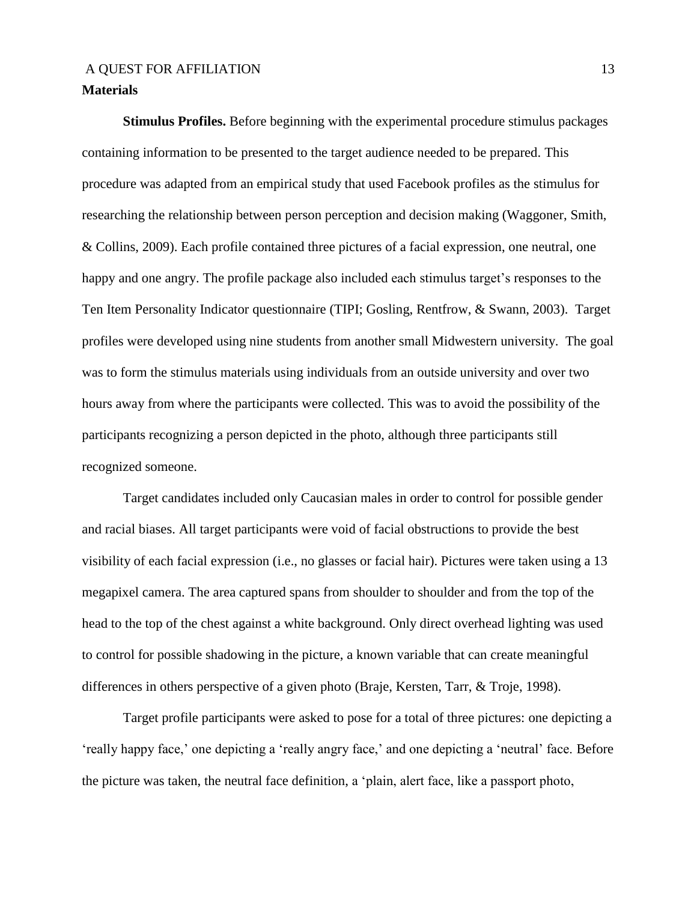## **Materials**

**Stimulus Profiles.** Before beginning with the experimental procedure stimulus packages containing information to be presented to the target audience needed to be prepared. This procedure was adapted from an empirical study that used Facebook profiles as the stimulus for researching the relationship between person perception and decision making (Waggoner, Smith, & Collins, 2009). Each profile contained three pictures of a facial expression, one neutral, one happy and one angry. The profile package also included each stimulus target's responses to the Ten Item Personality Indicator questionnaire (TIPI; Gosling, Rentfrow, & Swann, 2003). Target profiles were developed using nine students from another small Midwestern university. The goal was to form the stimulus materials using individuals from an outside university and over two hours away from where the participants were collected. This was to avoid the possibility of the participants recognizing a person depicted in the photo, although three participants still recognized someone.

Target candidates included only Caucasian males in order to control for possible gender and racial biases. All target participants were void of facial obstructions to provide the best visibility of each facial expression (i.e., no glasses or facial hair). Pictures were taken using a 13 megapixel camera. The area captured spans from shoulder to shoulder and from the top of the head to the top of the chest against a white background. Only direct overhead lighting was used to control for possible shadowing in the picture, a known variable that can create meaningful differences in others perspective of a given photo (Braje, Kersten, Tarr, & Troje, 1998).

Target profile participants were asked to pose for a total of three pictures: one depicting a 'really happy face,' one depicting a 'really angry face,' and one depicting a 'neutral' face. Before the picture was taken, the neutral face definition, a 'plain, alert face, like a passport photo,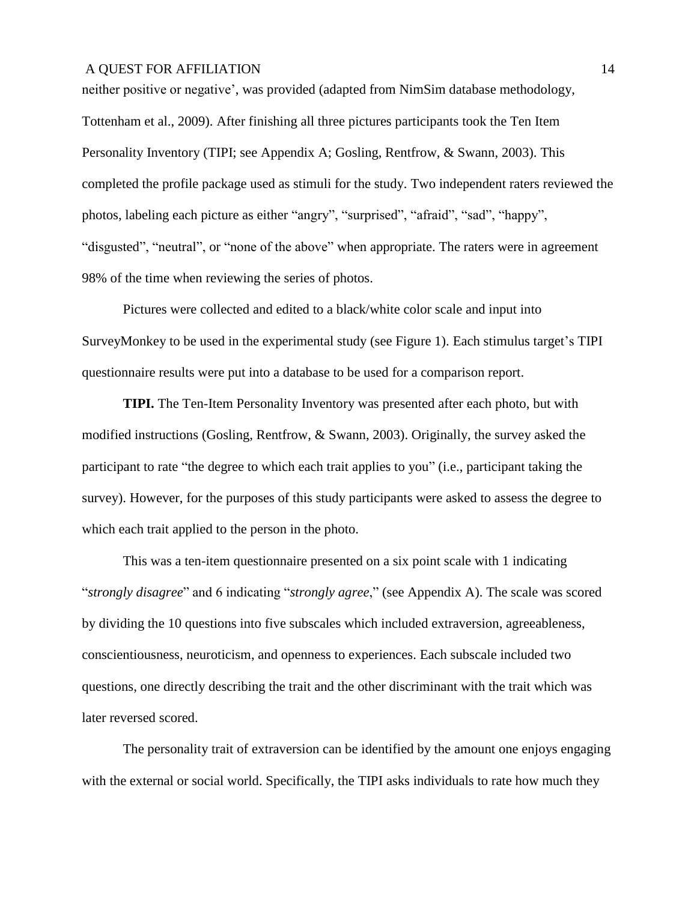neither positive or negative', was provided (adapted from NimSim database methodology, Tottenham et al., 2009). After finishing all three pictures participants took the Ten Item Personality Inventory (TIPI; see Appendix A; Gosling, Rentfrow, & Swann, 2003). This completed the profile package used as stimuli for the study. Two independent raters reviewed the photos, labeling each picture as either "angry", "surprised", "afraid", "sad", "happy", "disgusted", "neutral", or "none of the above" when appropriate. The raters were in agreement 98% of the time when reviewing the series of photos.

Pictures were collected and edited to a black/white color scale and input into SurveyMonkey to be used in the experimental study (see Figure 1). Each stimulus target's TIPI questionnaire results were put into a database to be used for a comparison report.

**TIPI.** The Ten-Item Personality Inventory was presented after each photo, but with modified instructions (Gosling, Rentfrow, & Swann, 2003). Originally, the survey asked the participant to rate "the degree to which each trait applies to you" (i.e., participant taking the survey). However, for the purposes of this study participants were asked to assess the degree to which each trait applied to the person in the photo.

This was a ten-item questionnaire presented on a six point scale with 1 indicating "*strongly disagree*" and 6 indicating "*strongly agree*," (see Appendix A). The scale was scored by dividing the 10 questions into five subscales which included extraversion, agreeableness, conscientiousness, neuroticism, and openness to experiences. Each subscale included two questions, one directly describing the trait and the other discriminant with the trait which was later reversed scored.

The personality trait of extraversion can be identified by the amount one enjoys engaging with the external or social world. Specifically, the TIPI asks individuals to rate how much they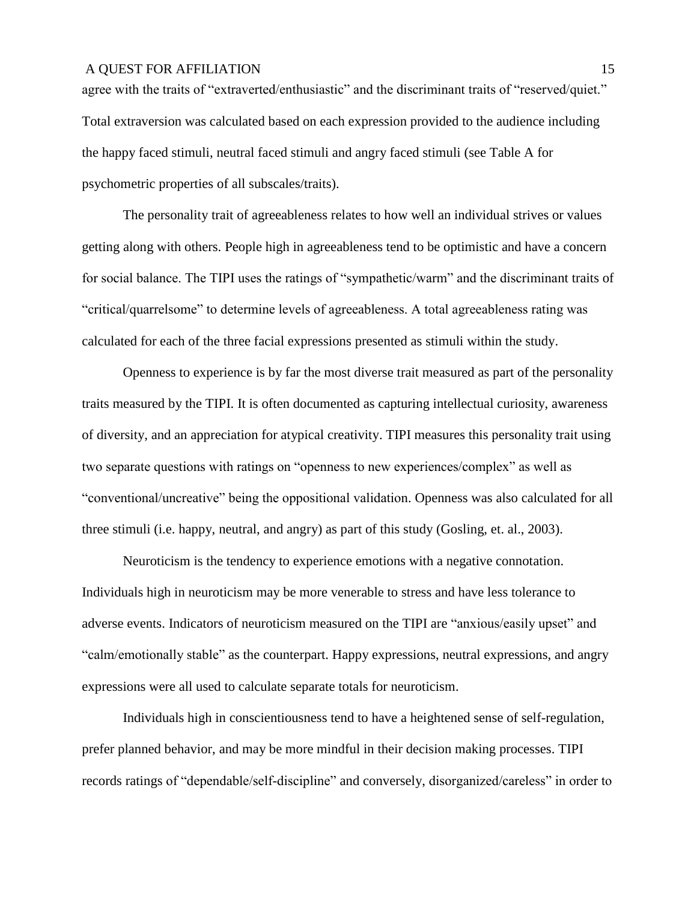agree with the traits of "extraverted/enthusiastic" and the discriminant traits of "reserved/quiet." Total extraversion was calculated based on each expression provided to the audience including the happy faced stimuli, neutral faced stimuli and angry faced stimuli (see Table A for psychometric properties of all subscales/traits).

The personality trait of agreeableness relates to how well an individual strives or values getting along with others. People high in agreeableness tend to be optimistic and have a concern for social balance. The TIPI uses the ratings of "sympathetic/warm" and the discriminant traits of "critical/quarrelsome" to determine levels of agreeableness. A total agreeableness rating was calculated for each of the three facial expressions presented as stimuli within the study.

Openness to experience is by far the most diverse trait measured as part of the personality traits measured by the TIPI. It is often documented as capturing intellectual curiosity, awareness of diversity, and an appreciation for atypical creativity. TIPI measures this personality trait using two separate questions with ratings on "openness to new experiences/complex" as well as "conventional/uncreative" being the oppositional validation. Openness was also calculated for all three stimuli (i.e. happy, neutral, and angry) as part of this study (Gosling, et. al., 2003).

Neuroticism is the tendency to experience emotions with a negative connotation. Individuals high in neuroticism may be more venerable to stress and have less tolerance to adverse events. Indicators of neuroticism measured on the TIPI are "anxious/easily upset" and "calm/emotionally stable" as the counterpart. Happy expressions, neutral expressions, and angry expressions were all used to calculate separate totals for neuroticism.

Individuals high in conscientiousness tend to have a heightened sense of self-regulation, prefer planned behavior, and may be more mindful in their decision making processes. TIPI records ratings of "dependable/self-discipline" and conversely, disorganized/careless" in order to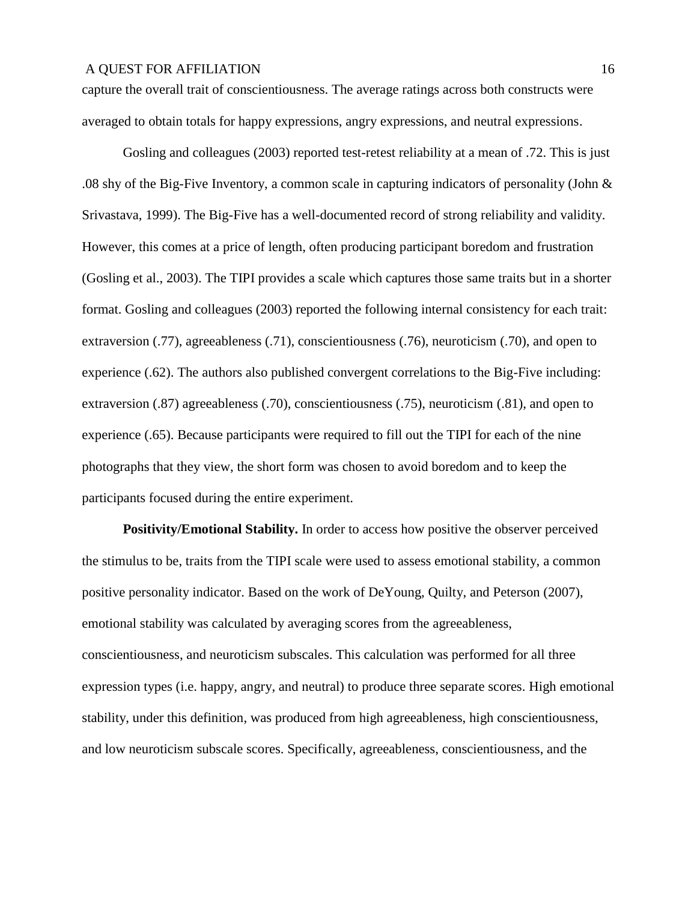capture the overall trait of conscientiousness. The average ratings across both constructs were averaged to obtain totals for happy expressions, angry expressions, and neutral expressions.

Gosling and colleagues (2003) reported test-retest reliability at a mean of .72. This is just .08 shy of the Big-Five Inventory, a common scale in capturing indicators of personality (John & Srivastava, 1999). The Big-Five has a well-documented record of strong reliability and validity. However, this comes at a price of length, often producing participant boredom and frustration (Gosling et al., 2003). The TIPI provides a scale which captures those same traits but in a shorter format. Gosling and colleagues (2003) reported the following internal consistency for each trait: extraversion (.77), agreeableness (.71), conscientiousness (.76), neuroticism (.70), and open to experience (.62). The authors also published convergent correlations to the Big-Five including: extraversion (.87) agreeableness (.70), conscientiousness (.75), neuroticism (.81), and open to experience (.65). Because participants were required to fill out the TIPI for each of the nine photographs that they view, the short form was chosen to avoid boredom and to keep the participants focused during the entire experiment.

**Positivity/Emotional Stability.** In order to access how positive the observer perceived the stimulus to be, traits from the TIPI scale were used to assess emotional stability, a common positive personality indicator. Based on the work of DeYoung, Quilty, and Peterson (2007), emotional stability was calculated by averaging scores from the agreeableness, conscientiousness, and neuroticism subscales. This calculation was performed for all three expression types (i.e. happy, angry, and neutral) to produce three separate scores. High emotional stability, under this definition, was produced from high agreeableness, high conscientiousness, and low neuroticism subscale scores. Specifically, agreeableness, conscientiousness, and the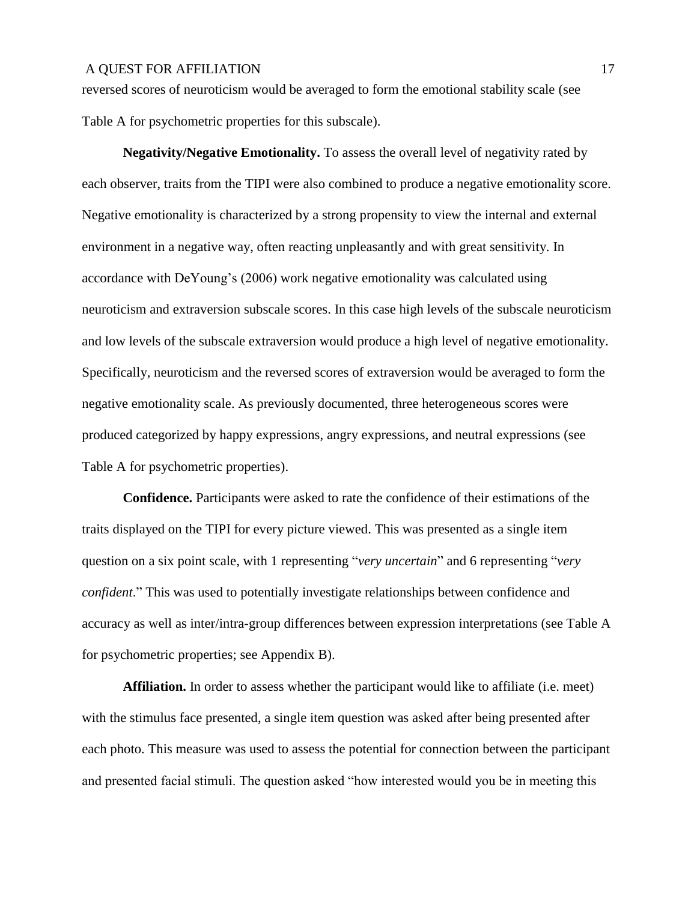reversed scores of neuroticism would be averaged to form the emotional stability scale (see Table A for psychometric properties for this subscale).

**Negativity/Negative Emotionality.** To assess the overall level of negativity rated by each observer, traits from the TIPI were also combined to produce a negative emotionality score. Negative emotionality is characterized by a strong propensity to view the internal and external environment in a negative way, often reacting unpleasantly and with great sensitivity. In accordance with DeYoung's (2006) work negative emotionality was calculated using neuroticism and extraversion subscale scores. In this case high levels of the subscale neuroticism and low levels of the subscale extraversion would produce a high level of negative emotionality. Specifically, neuroticism and the reversed scores of extraversion would be averaged to form the negative emotionality scale. As previously documented, three heterogeneous scores were produced categorized by happy expressions, angry expressions, and neutral expressions (see Table A for psychometric properties).

**Confidence.** Participants were asked to rate the confidence of their estimations of the traits displayed on the TIPI for every picture viewed. This was presented as a single item question on a six point scale, with 1 representing "*very uncertain*" and 6 representing "*very confident*." This was used to potentially investigate relationships between confidence and accuracy as well as inter/intra-group differences between expression interpretations (see Table A for psychometric properties; see Appendix B).

**Affiliation.** In order to assess whether the participant would like to affiliate (i.e. meet) with the stimulus face presented, a single item question was asked after being presented after each photo. This measure was used to assess the potential for connection between the participant and presented facial stimuli. The question asked "how interested would you be in meeting this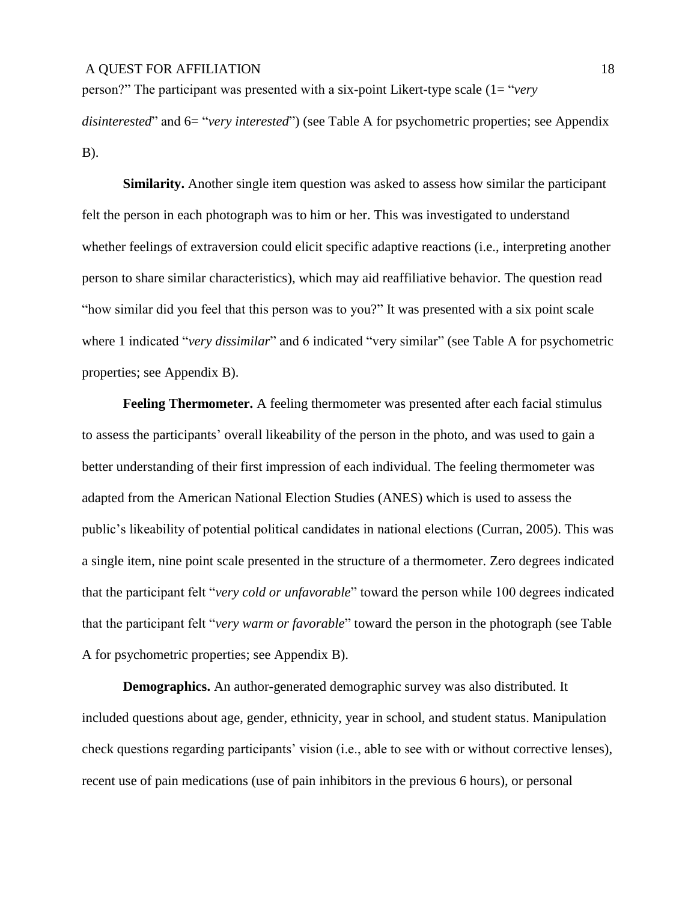person?" The participant was presented with a six-point Likert-type scale (1= "*very* 

*disinterested*" and 6= "*very interested*") (see Table A for psychometric properties; see Appendix B).

**Similarity.** Another single item question was asked to assess how similar the participant felt the person in each photograph was to him or her. This was investigated to understand whether feelings of extraversion could elicit specific adaptive reactions (i.e., interpreting another person to share similar characteristics), which may aid reaffiliative behavior. The question read "how similar did you feel that this person was to you?" It was presented with a six point scale where 1 indicated "*very dissimilar*" and 6 indicated "very similar" (see Table A for psychometric properties; see Appendix B).

**Feeling Thermometer.** A feeling thermometer was presented after each facial stimulus to assess the participants' overall likeability of the person in the photo, and was used to gain a better understanding of their first impression of each individual. The feeling thermometer was adapted from the American National Election Studies (ANES) which is used to assess the public's likeability of potential political candidates in national elections (Curran, 2005). This was a single item, nine point scale presented in the structure of a thermometer. Zero degrees indicated that the participant felt "*very cold or unfavorable*" toward the person while 100 degrees indicated that the participant felt "*very warm or favorable*" toward the person in the photograph (see Table A for psychometric properties; see Appendix B).

**Demographics.** An author-generated demographic survey was also distributed. It included questions about age, gender, ethnicity, year in school, and student status. Manipulation check questions regarding participants' vision (i.e., able to see with or without corrective lenses), recent use of pain medications (use of pain inhibitors in the previous 6 hours), or personal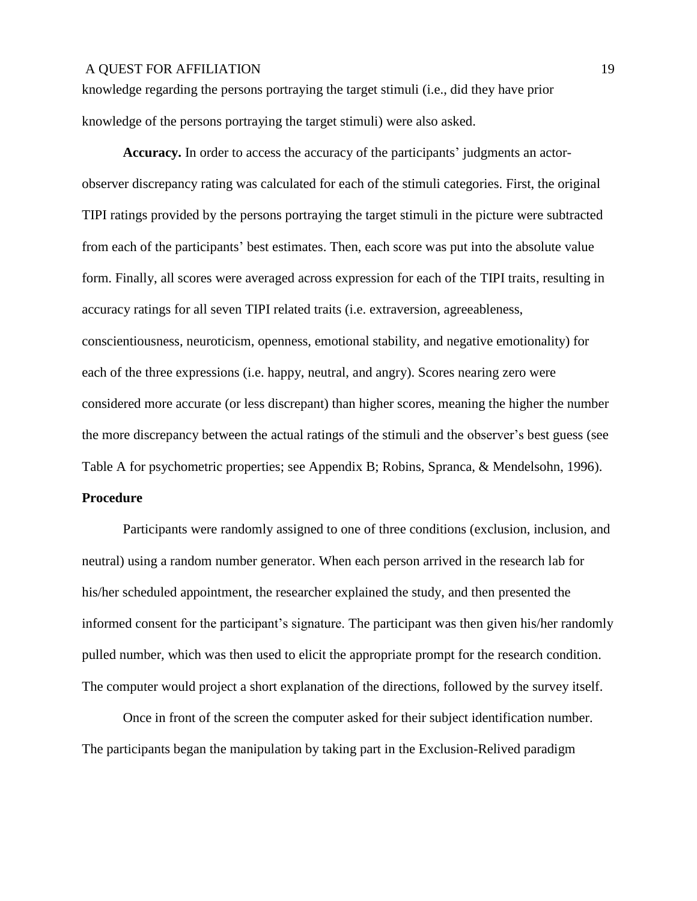knowledge regarding the persons portraying the target stimuli (i.e., did they have prior knowledge of the persons portraying the target stimuli) were also asked.

**Accuracy.** In order to access the accuracy of the participants' judgments an actorobserver discrepancy rating was calculated for each of the stimuli categories. First, the original TIPI ratings provided by the persons portraying the target stimuli in the picture were subtracted from each of the participants' best estimates. Then, each score was put into the absolute value form. Finally, all scores were averaged across expression for each of the TIPI traits, resulting in accuracy ratings for all seven TIPI related traits (i.e. extraversion, agreeableness, conscientiousness, neuroticism, openness, emotional stability, and negative emotionality) for each of the three expressions (i.e. happy, neutral, and angry). Scores nearing zero were considered more accurate (or less discrepant) than higher scores, meaning the higher the number the more discrepancy between the actual ratings of the stimuli and the observer's best guess (see Table A for psychometric properties; see Appendix B; Robins, Spranca, & Mendelsohn, 1996).

### **Procedure**

Participants were randomly assigned to one of three conditions (exclusion, inclusion, and neutral) using a random number generator. When each person arrived in the research lab for his/her scheduled appointment, the researcher explained the study, and then presented the informed consent for the participant's signature. The participant was then given his/her randomly pulled number, which was then used to elicit the appropriate prompt for the research condition. The computer would project a short explanation of the directions, followed by the survey itself.

Once in front of the screen the computer asked for their subject identification number. The participants began the manipulation by taking part in the Exclusion-Relived paradigm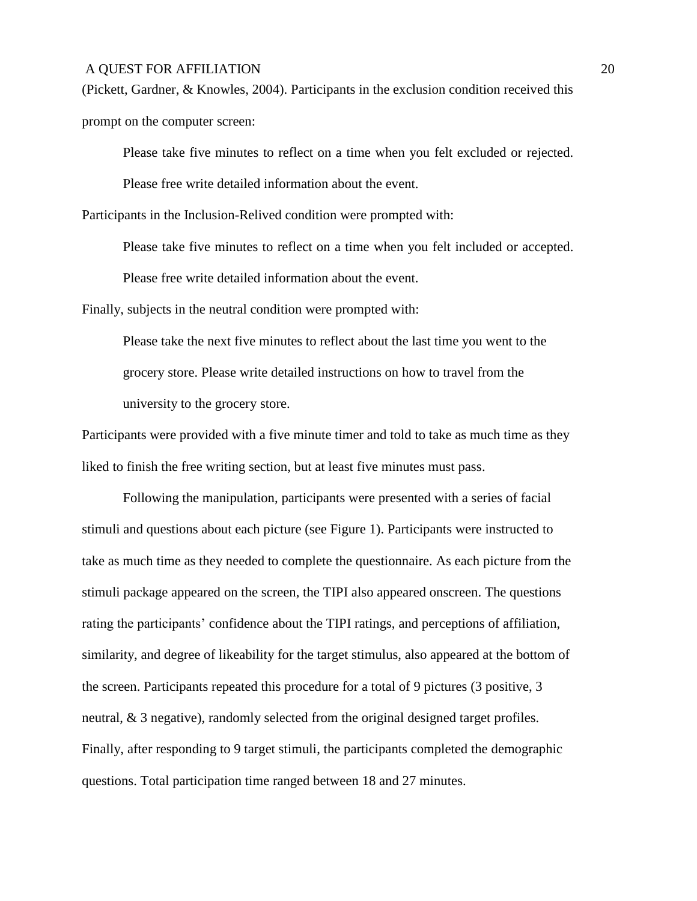(Pickett, Gardner, & Knowles, 2004). Participants in the exclusion condition received this prompt on the computer screen:

Please take five minutes to reflect on a time when you felt excluded or rejected.

Please free write detailed information about the event.

Participants in the Inclusion-Relived condition were prompted with:

Please take five minutes to reflect on a time when you felt included or accepted.

Please free write detailed information about the event.

Finally, subjects in the neutral condition were prompted with:

Please take the next five minutes to reflect about the last time you went to the grocery store. Please write detailed instructions on how to travel from the university to the grocery store.

Participants were provided with a five minute timer and told to take as much time as they liked to finish the free writing section, but at least five minutes must pass.

Following the manipulation, participants were presented with a series of facial stimuli and questions about each picture (see Figure 1). Participants were instructed to take as much time as they needed to complete the questionnaire. As each picture from the stimuli package appeared on the screen, the TIPI also appeared onscreen. The questions rating the participants' confidence about the TIPI ratings, and perceptions of affiliation, similarity, and degree of likeability for the target stimulus, also appeared at the bottom of the screen. Participants repeated this procedure for a total of 9 pictures (3 positive, 3 neutral, & 3 negative), randomly selected from the original designed target profiles. Finally, after responding to 9 target stimuli, the participants completed the demographic questions. Total participation time ranged between 18 and 27 minutes.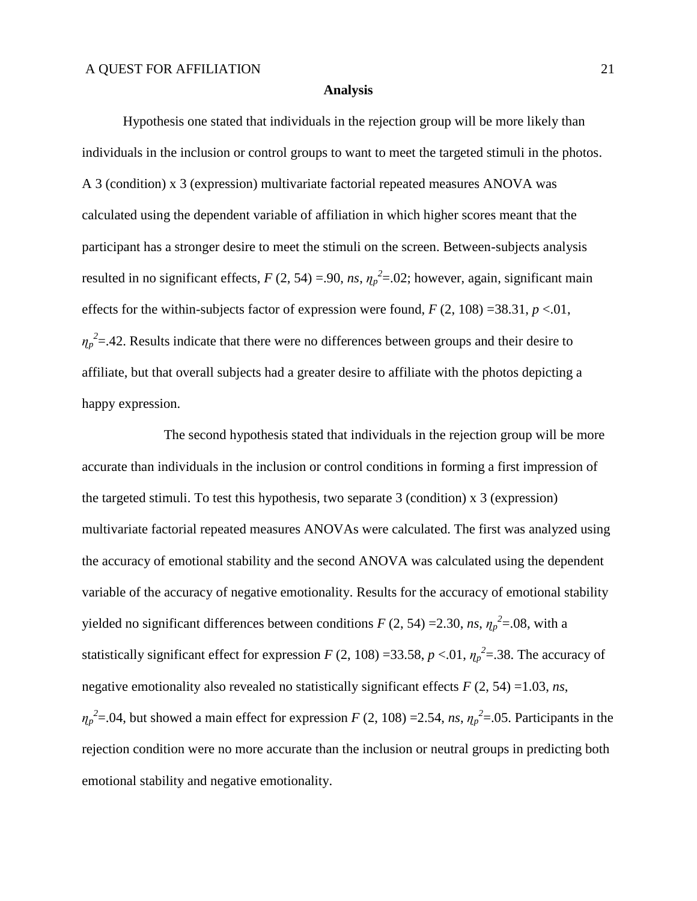#### **Analysis**

Hypothesis one stated that individuals in the rejection group will be more likely than individuals in the inclusion or control groups to want to meet the targeted stimuli in the photos. A 3 (condition) x 3 (expression) multivariate factorial repeated measures ANOVA was calculated using the dependent variable of affiliation in which higher scores meant that the participant has a stronger desire to meet the stimuli on the screen. Between-subjects analysis resulted in no significant effects,  $F(2, 54) = .90$ ,  $ns$ ,  $\eta_p^2 = .02$ ; however, again, significant main effects for the within-subjects factor of expression were found,  $F(2, 108) = 38.31$ ,  $p < 01$ ,  $\eta_p^2 = 0.42$ . Results indicate that there were no differences between groups and their desire to affiliate, but that overall subjects had a greater desire to affiliate with the photos depicting a happy expression.

The second hypothesis stated that individuals in the rejection group will be more accurate than individuals in the inclusion or control conditions in forming a first impression of the targeted stimuli. To test this hypothesis, two separate 3 (condition) x 3 (expression) multivariate factorial repeated measures ANOVAs were calculated. The first was analyzed using the accuracy of emotional stability and the second ANOVA was calculated using the dependent variable of the accuracy of negative emotionality. Results for the accuracy of emotional stability yielded no significant differences between conditions  $F(2, 54) = 2.30$ , *ns*,  $\eta_p^2 = .08$ , with a statistically significant effect for expression *F* (2, 108) =33.58, *p* <.01,  $\eta_p^2$  = 38. The accuracy of negative emotionality also revealed no statistically significant effects *F* (2, 54) =1.03, *ns*,  $\eta_p^2 = 0.04$ , but showed a main effect for expression *F* (2, 108) = 2.54, *ns*,  $\eta_p^2 = 0.05$ . Participants in the rejection condition were no more accurate than the inclusion or neutral groups in predicting both emotional stability and negative emotionality.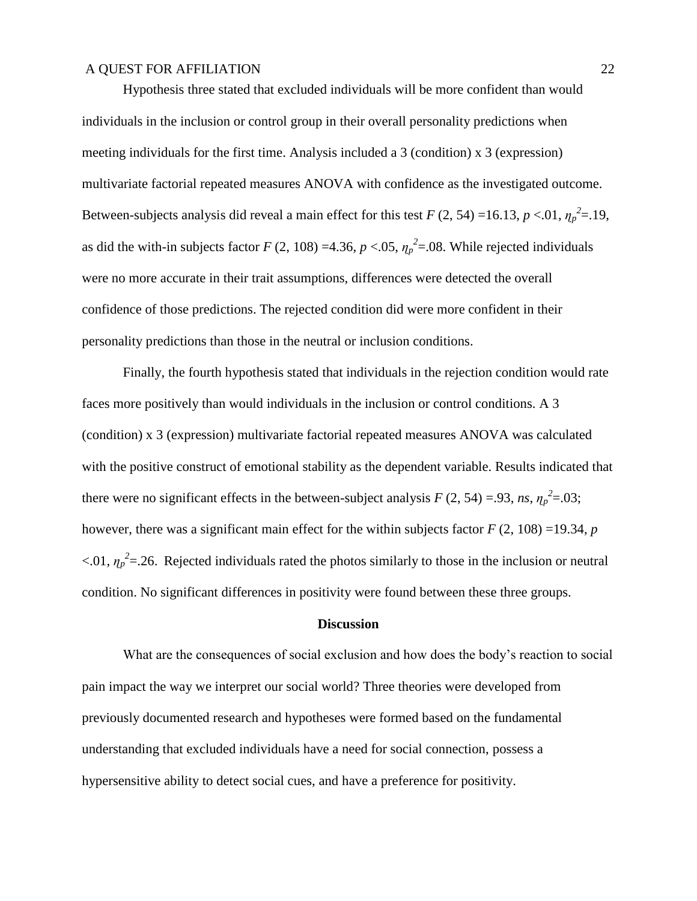Hypothesis three stated that excluded individuals will be more confident than would individuals in the inclusion or control group in their overall personality predictions when meeting individuals for the first time. Analysis included a 3 (condition) x 3 (expression) multivariate factorial repeated measures ANOVA with confidence as the investigated outcome. Between-subjects analysis did reveal a main effect for this test  $F(2, 54) = 16.13, p < 0.01, \eta_p^2 = 19$ , as did the with-in subjects factor *F* (2, 108) =4.36, *p* <.05,  $\eta_p^2$  =.08. While rejected individuals were no more accurate in their trait assumptions, differences were detected the overall confidence of those predictions. The rejected condition did were more confident in their personality predictions than those in the neutral or inclusion conditions.

Finally, the fourth hypothesis stated that individuals in the rejection condition would rate faces more positively than would individuals in the inclusion or control conditions. A 3 (condition) x 3 (expression) multivariate factorial repeated measures ANOVA was calculated with the positive construct of emotional stability as the dependent variable. Results indicated that there were no significant effects in the between-subject analysis  $F(2, 54) = .93$ , *ns*,  $\eta_p^2 = .03$ ; however, there was a significant main effect for the within subjects factor *F* (2, 108) =19.34, *p*  $< 0.01$ ,  $\eta_p^2 = 26$ . Rejected individuals rated the photos similarly to those in the inclusion or neutral condition. No significant differences in positivity were found between these three groups.

#### **Discussion**

What are the consequences of social exclusion and how does the body's reaction to social pain impact the way we interpret our social world? Three theories were developed from previously documented research and hypotheses were formed based on the fundamental understanding that excluded individuals have a need for social connection, possess a hypersensitive ability to detect social cues, and have a preference for positivity.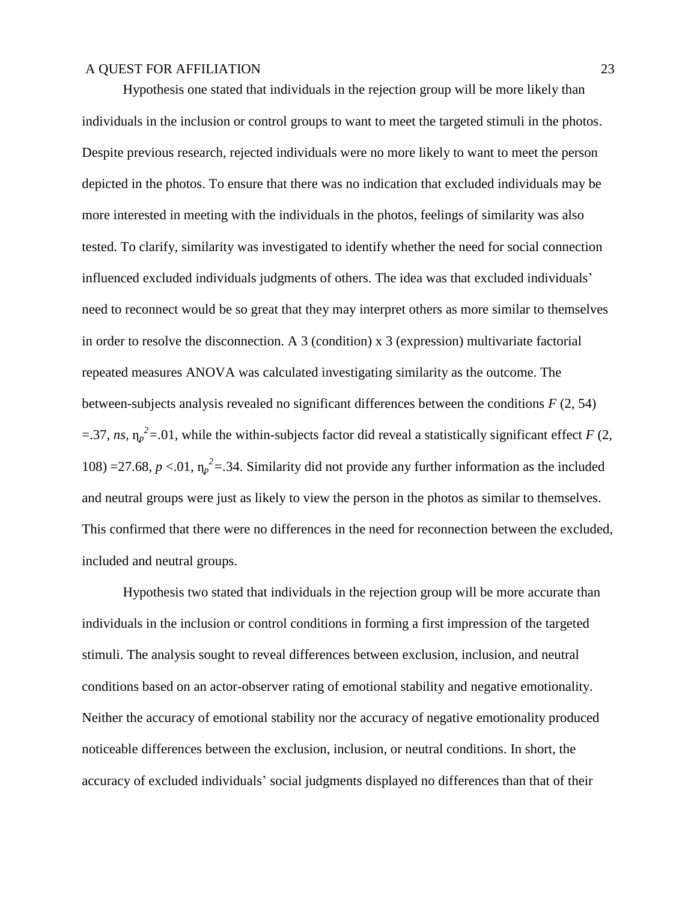Hypothesis one stated that individuals in the rejection group will be more likely than individuals in the inclusion or control groups to want to meet the targeted stimuli in the photos. Despite previous research, rejected individuals were no more likely to want to meet the person depicted in the photos. To ensure that there was no indication that excluded individuals may be more interested in meeting with the individuals in the photos, feelings of similarity was also tested. To clarify, similarity was investigated to identify whether the need for social connection influenced excluded individuals judgments of others. The idea was that excluded individuals' need to reconnect would be so great that they may interpret others as more similar to themselves in order to resolve the disconnection. A 3 (condition) x 3 (expression) multivariate factorial repeated measures ANOVA was calculated investigating similarity as the outcome. The between-subjects analysis revealed no significant differences between the conditions *F* (2, 54)  $=$  37, *ns*,  $\eta_p^2$  = 01, while the within-subjects factor did reveal a statistically significant effect *F* (2, 108) =27.68,  $p < 01$ ,  $\eta_p^2 = 0.34$ . Similarity did not provide any further information as the included and neutral groups were just as likely to view the person in the photos as similar to themselves. This confirmed that there were no differences in the need for reconnection between the excluded, included and neutral groups.

Hypothesis two stated that individuals in the rejection group will be more accurate than individuals in the inclusion or control conditions in forming a first impression of the targeted stimuli. The analysis sought to reveal differences between exclusion, inclusion, and neutral conditions based on an actor-observer rating of emotional stability and negative emotionality. Neither the accuracy of emotional stability nor the accuracy of negative emotionality produced noticeable differences between the exclusion, inclusion, or neutral conditions. In short, the accuracy of excluded individuals' social judgments displayed no differences than that of their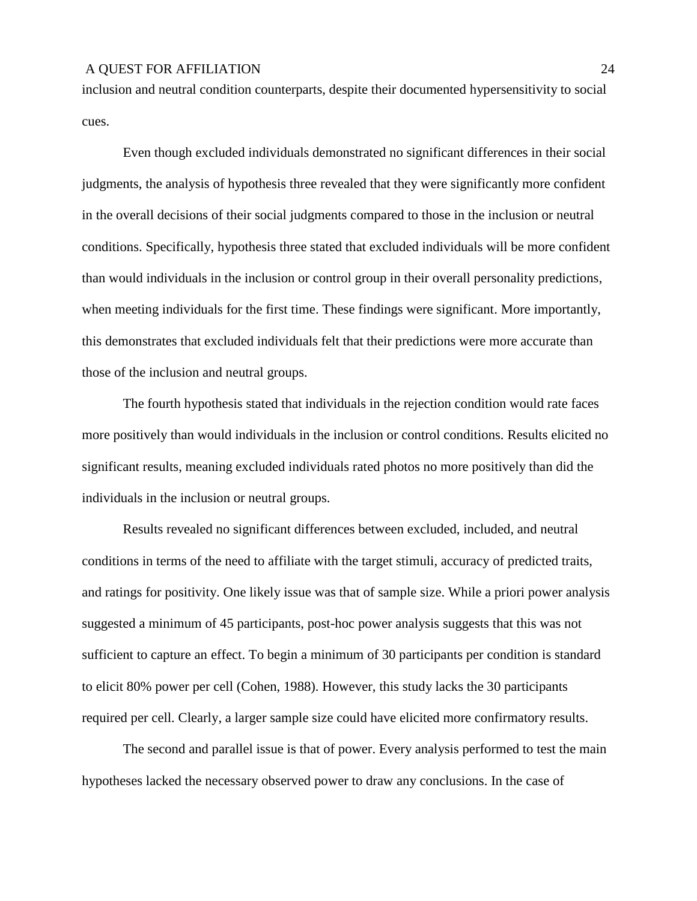inclusion and neutral condition counterparts, despite their documented hypersensitivity to social cues.

Even though excluded individuals demonstrated no significant differences in their social judgments, the analysis of hypothesis three revealed that they were significantly more confident in the overall decisions of their social judgments compared to those in the inclusion or neutral conditions. Specifically, hypothesis three stated that excluded individuals will be more confident than would individuals in the inclusion or control group in their overall personality predictions, when meeting individuals for the first time. These findings were significant. More importantly, this demonstrates that excluded individuals felt that their predictions were more accurate than those of the inclusion and neutral groups.

The fourth hypothesis stated that individuals in the rejection condition would rate faces more positively than would individuals in the inclusion or control conditions. Results elicited no significant results, meaning excluded individuals rated photos no more positively than did the individuals in the inclusion or neutral groups.

Results revealed no significant differences between excluded, included, and neutral conditions in terms of the need to affiliate with the target stimuli, accuracy of predicted traits, and ratings for positivity. One likely issue was that of sample size. While a priori power analysis suggested a minimum of 45 participants, post-hoc power analysis suggests that this was not sufficient to capture an effect. To begin a minimum of 30 participants per condition is standard to elicit 80% power per cell (Cohen, 1988). However, this study lacks the 30 participants required per cell. Clearly, a larger sample size could have elicited more confirmatory results.

The second and parallel issue is that of power. Every analysis performed to test the main hypotheses lacked the necessary observed power to draw any conclusions. In the case of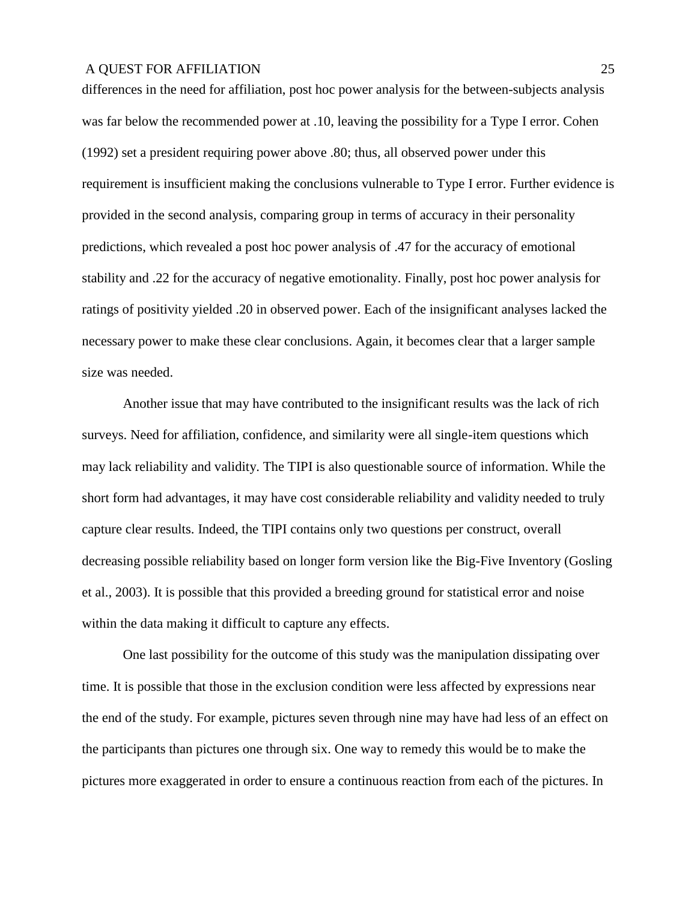differences in the need for affiliation, post hoc power analysis for the between-subjects analysis was far below the recommended power at .10, leaving the possibility for a Type I error. Cohen (1992) set a president requiring power above .80; thus, all observed power under this requirement is insufficient making the conclusions vulnerable to Type I error. Further evidence is provided in the second analysis, comparing group in terms of accuracy in their personality predictions, which revealed a post hoc power analysis of .47 for the accuracy of emotional stability and .22 for the accuracy of negative emotionality. Finally, post hoc power analysis for ratings of positivity yielded .20 in observed power. Each of the insignificant analyses lacked the necessary power to make these clear conclusions. Again, it becomes clear that a larger sample size was needed.

Another issue that may have contributed to the insignificant results was the lack of rich surveys. Need for affiliation, confidence, and similarity were all single-item questions which may lack reliability and validity. The TIPI is also questionable source of information. While the short form had advantages, it may have cost considerable reliability and validity needed to truly capture clear results. Indeed, the TIPI contains only two questions per construct, overall decreasing possible reliability based on longer form version like the Big-Five Inventory (Gosling et al., 2003). It is possible that this provided a breeding ground for statistical error and noise within the data making it difficult to capture any effects.

One last possibility for the outcome of this study was the manipulation dissipating over time. It is possible that those in the exclusion condition were less affected by expressions near the end of the study. For example, pictures seven through nine may have had less of an effect on the participants than pictures one through six. One way to remedy this would be to make the pictures more exaggerated in order to ensure a continuous reaction from each of the pictures. In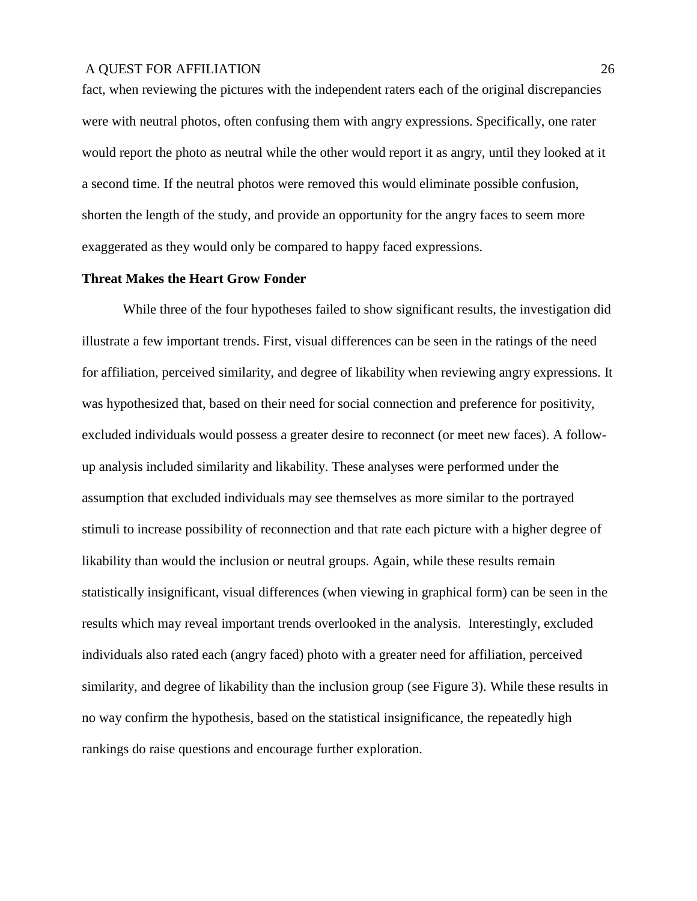fact, when reviewing the pictures with the independent raters each of the original discrepancies were with neutral photos, often confusing them with angry expressions. Specifically, one rater would report the photo as neutral while the other would report it as angry, until they looked at it a second time. If the neutral photos were removed this would eliminate possible confusion, shorten the length of the study, and provide an opportunity for the angry faces to seem more exaggerated as they would only be compared to happy faced expressions.

#### **Threat Makes the Heart Grow Fonder**

While three of the four hypotheses failed to show significant results, the investigation did illustrate a few important trends. First, visual differences can be seen in the ratings of the need for affiliation, perceived similarity, and degree of likability when reviewing angry expressions. It was hypothesized that, based on their need for social connection and preference for positivity, excluded individuals would possess a greater desire to reconnect (or meet new faces). A followup analysis included similarity and likability. These analyses were performed under the assumption that excluded individuals may see themselves as more similar to the portrayed stimuli to increase possibility of reconnection and that rate each picture with a higher degree of likability than would the inclusion or neutral groups. Again, while these results remain statistically insignificant, visual differences (when viewing in graphical form) can be seen in the results which may reveal important trends overlooked in the analysis. Interestingly, excluded individuals also rated each (angry faced) photo with a greater need for affiliation, perceived similarity, and degree of likability than the inclusion group (see Figure 3). While these results in no way confirm the hypothesis, based on the statistical insignificance, the repeatedly high rankings do raise questions and encourage further exploration.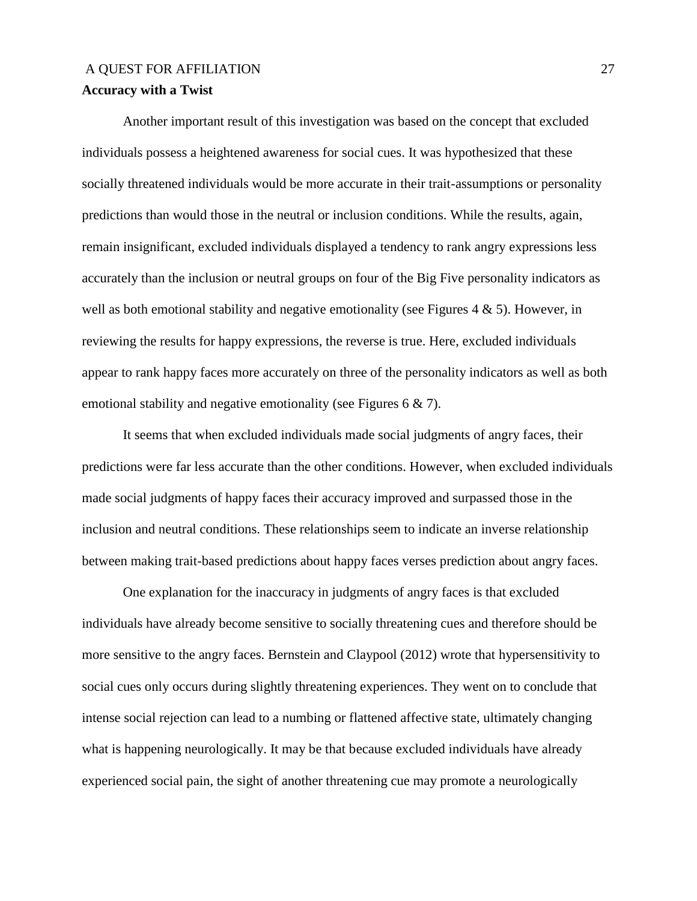# A OUEST FOR AFFILIATION 27 **Accuracy with a Twist**

Another important result of this investigation was based on the concept that excluded individuals possess a heightened awareness for social cues. It was hypothesized that these socially threatened individuals would be more accurate in their trait-assumptions or personality predictions than would those in the neutral or inclusion conditions. While the results, again, remain insignificant, excluded individuals displayed a tendency to rank angry expressions less accurately than the inclusion or neutral groups on four of the Big Five personality indicators as well as both emotional stability and negative emotionality (see Figures 4  $\&$  5). However, in reviewing the results for happy expressions, the reverse is true. Here, excluded individuals appear to rank happy faces more accurately on three of the personality indicators as well as both emotional stability and negative emotionality (see Figures 6 & 7).

It seems that when excluded individuals made social judgments of angry faces, their predictions were far less accurate than the other conditions. However, when excluded individuals made social judgments of happy faces their accuracy improved and surpassed those in the inclusion and neutral conditions. These relationships seem to indicate an inverse relationship between making trait-based predictions about happy faces verses prediction about angry faces.

One explanation for the inaccuracy in judgments of angry faces is that excluded individuals have already become sensitive to socially threatening cues and therefore should be more sensitive to the angry faces. Bernstein and Claypool (2012) wrote that hypersensitivity to social cues only occurs during slightly threatening experiences. They went on to conclude that intense social rejection can lead to a numbing or flattened affective state, ultimately changing what is happening neurologically. It may be that because excluded individuals have already experienced social pain, the sight of another threatening cue may promote a neurologically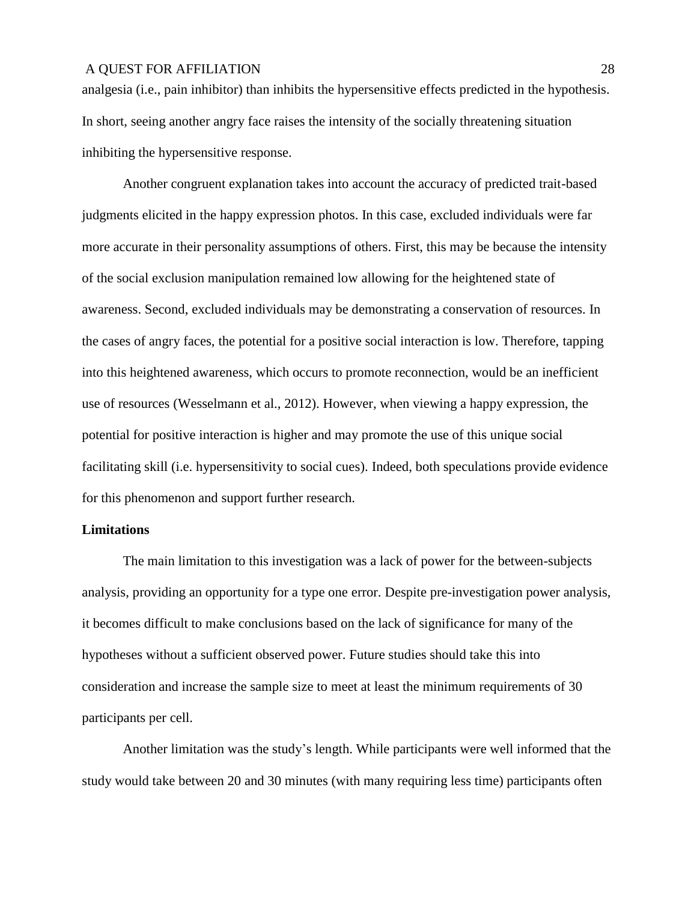analgesia (i.e., pain inhibitor) than inhibits the hypersensitive effects predicted in the hypothesis. In short, seeing another angry face raises the intensity of the socially threatening situation inhibiting the hypersensitive response.

Another congruent explanation takes into account the accuracy of predicted trait-based judgments elicited in the happy expression photos. In this case, excluded individuals were far more accurate in their personality assumptions of others. First, this may be because the intensity of the social exclusion manipulation remained low allowing for the heightened state of awareness. Second, excluded individuals may be demonstrating a conservation of resources. In the cases of angry faces, the potential for a positive social interaction is low. Therefore, tapping into this heightened awareness, which occurs to promote reconnection, would be an inefficient use of resources (Wesselmann et al., 2012). However, when viewing a happy expression, the potential for positive interaction is higher and may promote the use of this unique social facilitating skill (i.e. hypersensitivity to social cues). Indeed, both speculations provide evidence for this phenomenon and support further research.

#### **Limitations**

The main limitation to this investigation was a lack of power for the between-subjects analysis, providing an opportunity for a type one error. Despite pre-investigation power analysis, it becomes difficult to make conclusions based on the lack of significance for many of the hypotheses without a sufficient observed power. Future studies should take this into consideration and increase the sample size to meet at least the minimum requirements of 30 participants per cell.

Another limitation was the study's length. While participants were well informed that the study would take between 20 and 30 minutes (with many requiring less time) participants often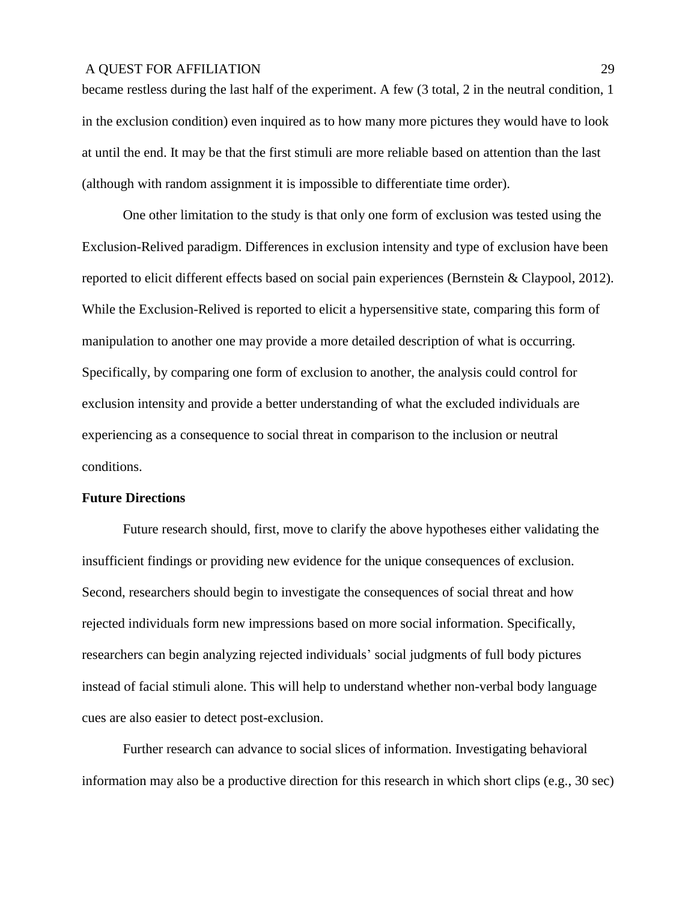became restless during the last half of the experiment. A few (3 total, 2 in the neutral condition, 1 in the exclusion condition) even inquired as to how many more pictures they would have to look at until the end. It may be that the first stimuli are more reliable based on attention than the last (although with random assignment it is impossible to differentiate time order).

One other limitation to the study is that only one form of exclusion was tested using the Exclusion-Relived paradigm. Differences in exclusion intensity and type of exclusion have been reported to elicit different effects based on social pain experiences (Bernstein & Claypool, 2012). While the Exclusion-Relived is reported to elicit a hypersensitive state, comparing this form of manipulation to another one may provide a more detailed description of what is occurring. Specifically, by comparing one form of exclusion to another, the analysis could control for exclusion intensity and provide a better understanding of what the excluded individuals are experiencing as a consequence to social threat in comparison to the inclusion or neutral conditions.

#### **Future Directions**

Future research should, first, move to clarify the above hypotheses either validating the insufficient findings or providing new evidence for the unique consequences of exclusion. Second, researchers should begin to investigate the consequences of social threat and how rejected individuals form new impressions based on more social information. Specifically, researchers can begin analyzing rejected individuals' social judgments of full body pictures instead of facial stimuli alone. This will help to understand whether non-verbal body language cues are also easier to detect post-exclusion.

Further research can advance to social slices of information. Investigating behavioral information may also be a productive direction for this research in which short clips (e.g., 30 sec)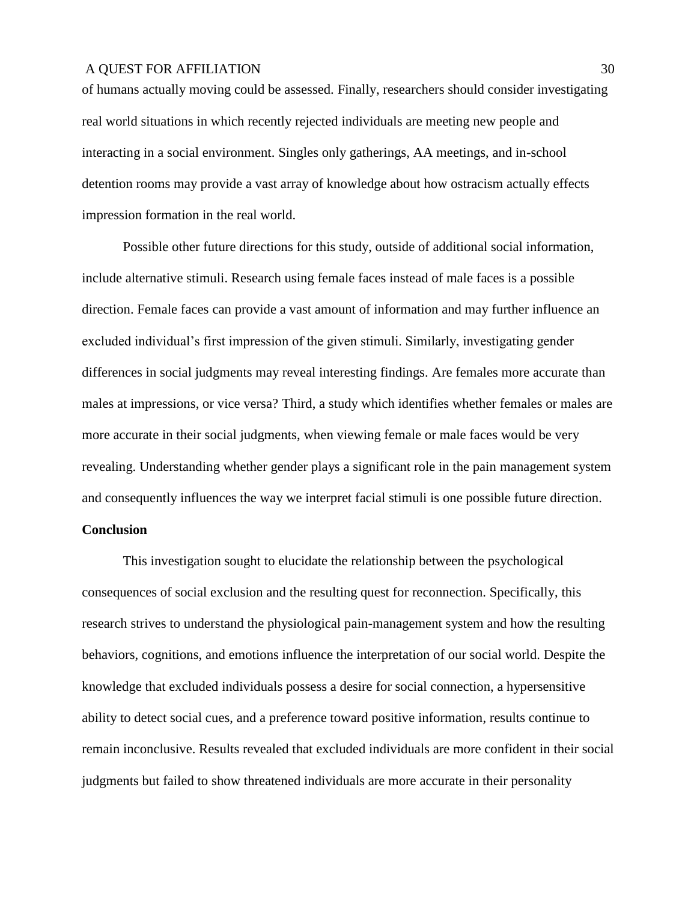of humans actually moving could be assessed. Finally, researchers should consider investigating real world situations in which recently rejected individuals are meeting new people and interacting in a social environment. Singles only gatherings, AA meetings, and in-school detention rooms may provide a vast array of knowledge about how ostracism actually effects impression formation in the real world.

Possible other future directions for this study, outside of additional social information, include alternative stimuli. Research using female faces instead of male faces is a possible direction. Female faces can provide a vast amount of information and may further influence an excluded individual's first impression of the given stimuli. Similarly, investigating gender differences in social judgments may reveal interesting findings. Are females more accurate than males at impressions, or vice versa? Third, a study which identifies whether females or males are more accurate in their social judgments, when viewing female or male faces would be very revealing. Understanding whether gender plays a significant role in the pain management system and consequently influences the way we interpret facial stimuli is one possible future direction.

#### **Conclusion**

This investigation sought to elucidate the relationship between the psychological consequences of social exclusion and the resulting quest for reconnection. Specifically, this research strives to understand the physiological pain-management system and how the resulting behaviors, cognitions, and emotions influence the interpretation of our social world. Despite the knowledge that excluded individuals possess a desire for social connection, a hypersensitive ability to detect social cues, and a preference toward positive information, results continue to remain inconclusive. Results revealed that excluded individuals are more confident in their social judgments but failed to show threatened individuals are more accurate in their personality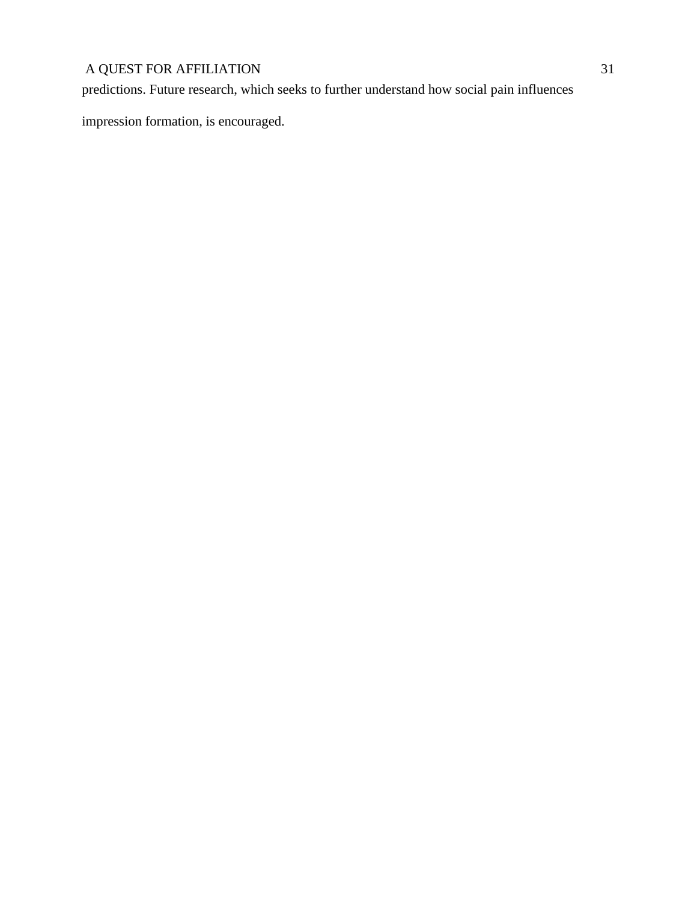predictions. Future research, which seeks to further understand how social pain influences

impression formation, is encouraged.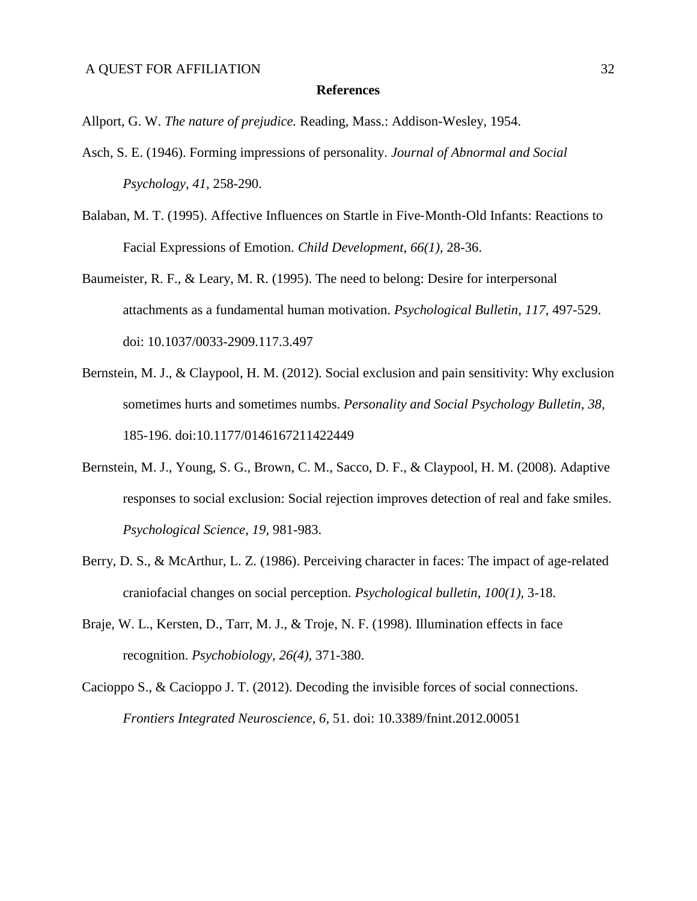#### **References**

Allport, G. W. *The nature of prejudice.* Reading, Mass.: Addison-Wesley, 1954.

- Asch, S. E. (1946). Forming impressions of personality. *Journal of Abnormal and Social Psychology, 41,* 258-290.
- Balaban, M. T. (1995). Affective Influences on Startle in Five‐Month‐Old Infants: Reactions to Facial Expressions of Emotion. *Child Development*, *66(1),* 28-36.
- Baumeister, R. F., & Leary, M. R. (1995). The need to belong: Desire for interpersonal attachments as a fundamental human motivation. *Psychological Bulletin, 117*, 497-529. doi: 10.1037/0033-2909.117.3.497
- Bernstein, M. J., & Claypool, H. M. (2012). Social exclusion and pain sensitivity: Why exclusion sometimes hurts and sometimes numbs. *Personality and Social Psychology Bulletin*, *38,* 185-196. doi:10.1177/0146167211422449
- Bernstein, M. J., Young, S. G., Brown, C. M., Sacco, D. F., & Claypool, H. M. (2008). Adaptive responses to social exclusion: Social rejection improves detection of real and fake smiles. *Psychological Science*, *19,* 981-983.
- Berry, D. S., & McArthur, L. Z. (1986). Perceiving character in faces: The impact of age-related craniofacial changes on social perception. *Psychological bulletin*, *100(1),* 3-18.
- Braje, W. L., Kersten, D., Tarr, M. J., & Troje, N. F. (1998). Illumination effects in face recognition. *Psychobiology, 26(4),* 371-380.
- Cacioppo S., & Cacioppo J. T. (2012). Decoding the invisible forces of social connections. *Frontiers Integrated Neuroscience, 6,* 51. doi: 10.3389/fnint.2012.00051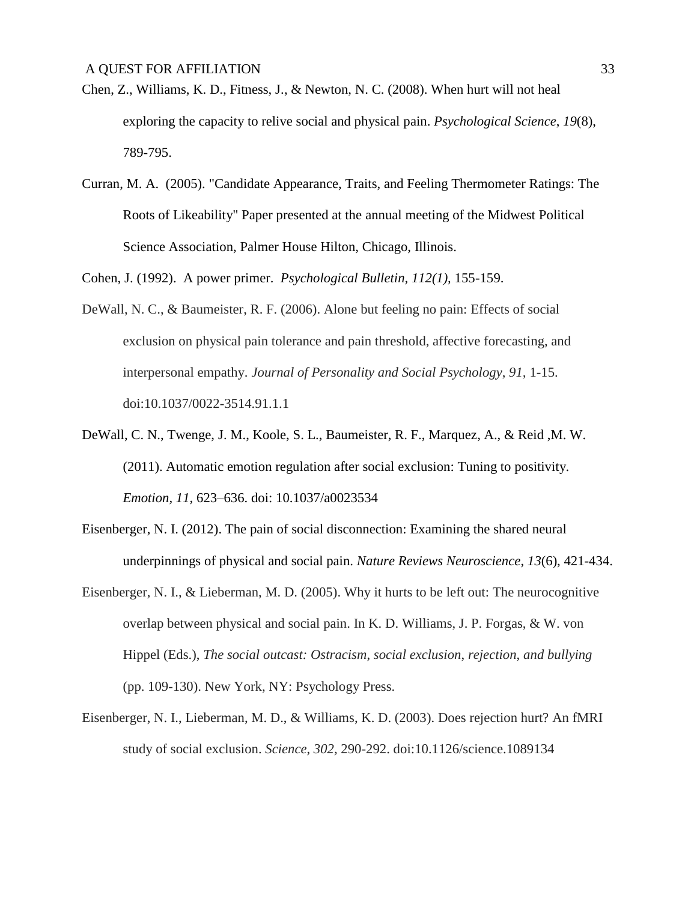- Chen, Z., Williams, K. D., Fitness, J., & Newton, N. C. (2008). When hurt will not heal exploring the capacity to relive social and physical pain. *Psychological Science*, *19*(8), 789-795.
- Curran, M. A. (2005). "Candidate Appearance, Traits, and Feeling Thermometer Ratings: The Roots of Likeability" Paper presented at the annual meeting of the Midwest Political Science Association, Palmer House Hilton, Chicago, Illinois.

Cohen, J. (1992). A power primer. *Psychological Bulletin, 112(1),* 155-159.

- DeWall, N. C., & Baumeister, R. F. (2006). Alone but feeling no pain: Effects of social exclusion on physical pain tolerance and pain threshold, affective forecasting, and interpersonal empathy. *Journal of Personality and Social Psychology*, *91,* 1-15. doi:10.1037/0022-3514.91.1.1
- DeWall, C. N., Twenge, J. M., Koole, S. L., Baumeister, R. F., Marquez, A., & Reid ,M. W. (2011). Automatic emotion regulation after social exclusion: Tuning to positivity. *Emotion, 11,* 623–636. doi: 10.1037/a0023534
- Eisenberger, N. I. (2012). The pain of social disconnection: Examining the shared neural underpinnings of physical and social pain. *Nature Reviews Neuroscience*, *13*(6), 421-434.
- Eisenberger, N. I., & Lieberman, M. D. (2005). Why it hurts to be left out: The neurocognitive overlap between physical and social pain. In K. D. Williams, J. P. Forgas, & W. von Hippel (Eds.), *The social outcast: Ostracism*, *social exclusion*, *rejection*, *and bullying*  (pp. 109-130). New York, NY: Psychology Press.
- Eisenberger, N. I., Lieberman, M. D., & Williams, K. D. (2003). Does rejection hurt? An fMRI study of social exclusion. *Science*, *302,* 290-292. doi:10.1126/science.1089134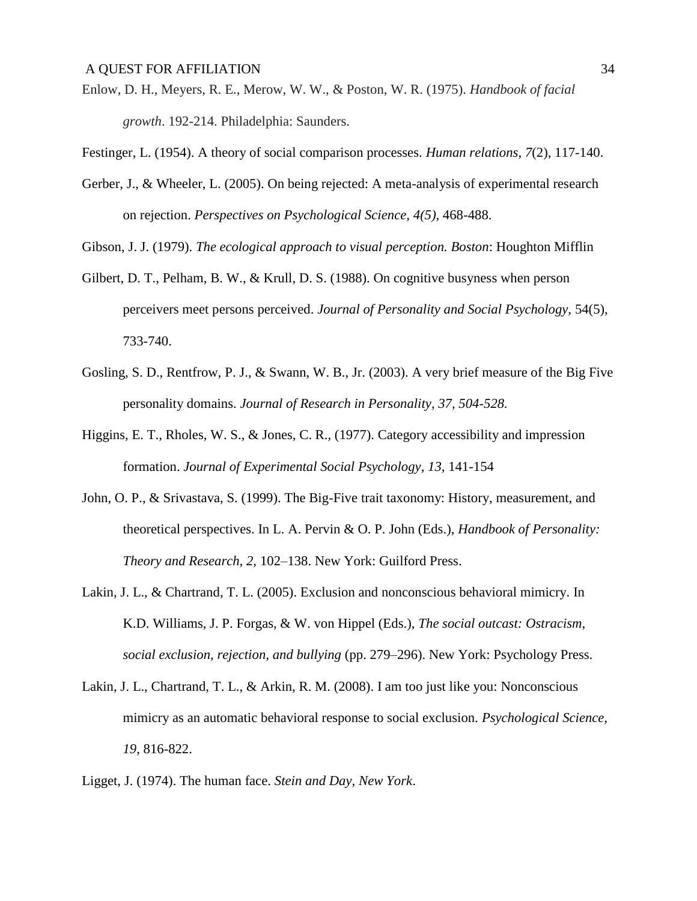- Enlow, D. H., Meyers, R. E., Merow, W. W., & Poston, W. R. (1975). *Handbook of facial growth*. 192-214. Philadelphia: Saunders.
- Festinger, L. (1954). A theory of social comparison processes. *Human relations*, *7*(2), 117-140.
- Gerber, J., & Wheeler, L. (2005). On being rejected: A meta-analysis of experimental research on rejection. *Perspectives on Psychological Science, 4(5),* 468-488.
- Gibson, J. J. (1979). *The ecological approach to visual perception. Boston*: Houghton Mifflin
- Gilbert, D. T., Pelham, B. W., & Krull, D. S. (1988). On cognitive busyness when person perceivers meet persons perceived. *Journal of Personality and Social Psychology,* 54(5), 733-740.
- Gosling, S. D., Rentfrow, P. J., & Swann, W. B., Jr. (2003). A very brief measure of the Big Five personality domains. *Journal of Research in Personality, 37, 504-528.*
- Higgins, E. T., Rholes, W. S., & Jones, C. R., (1977). Category accessibility and impression formation. *Journal of Experimental Social Psychology, 13,* 141-154
- John, O. P., & Srivastava, S. (1999). The Big-Five trait taxonomy: History, measurement, and theoretical perspectives. In L. A. Pervin & O. P. John (Eds.), *Handbook of Personality: Theory and Research, 2,* 102–138. New York: Guilford Press.
- Lakin, J. L., & Chartrand, T. L. (2005). Exclusion and nonconscious behavioral mimicry. In K.D. Williams, J. P. Forgas, & W. von Hippel (Eds.), *The social outcast: Ostracism, social exclusion, rejection, and bullying* (pp. 279–296). New York: Psychology Press.
- Lakin, J. L., Chartrand, T. L., & Arkin, R. M. (2008). I am too just like you: Nonconscious mimicry as an automatic behavioral response to social exclusion. *Psychological Science, 19*, 816-822.
- Ligget, J. (1974). The human face. *Stein and Day, New York*.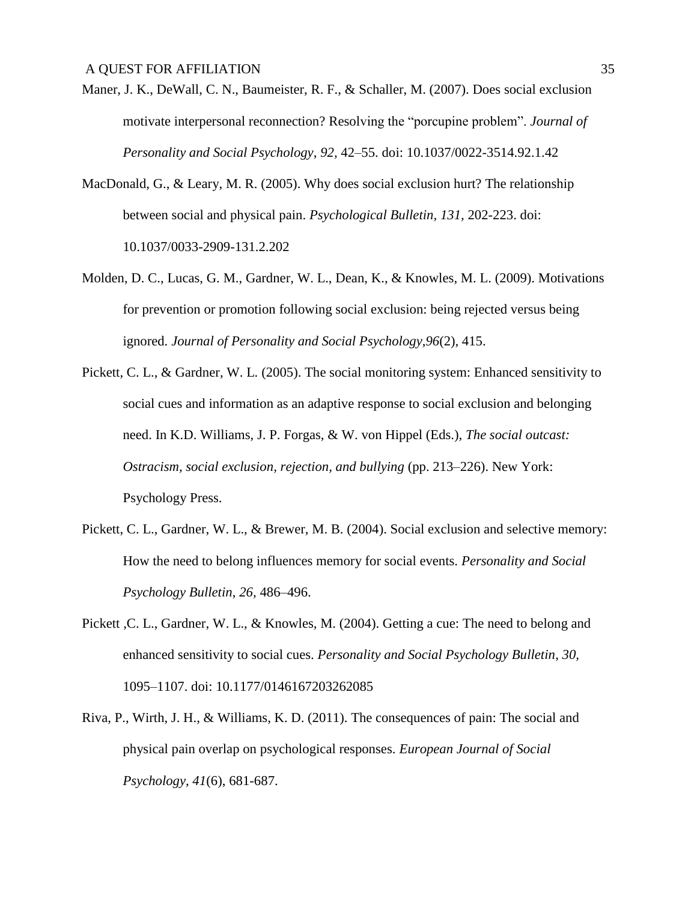- Maner, J. K., DeWall, C. N., Baumeister, R. F., & Schaller, M. (2007). Does social exclusion motivate interpersonal reconnection? Resolving the "porcupine problem". *Journal of Personality and Social Psychology*, *92,* 42–55. doi: 10.1037/0022-3514.92.1.42
- MacDonald, G., & Leary, M. R. (2005). Why does social exclusion hurt? The relationship between social and physical pain. *Psychological Bulletin, 131,* 202-223. doi: 10.1037/0033-2909-131.2.202
- Molden, D. C., Lucas, G. M., Gardner, W. L., Dean, K., & Knowles, M. L. (2009). Motivations for prevention or promotion following social exclusion: being rejected versus being ignored. *Journal of Personality and Social Psychology*,*96*(2), 415.
- Pickett, C. L., & Gardner, W. L. (2005). The social monitoring system: Enhanced sensitivity to social cues and information as an adaptive response to social exclusion and belonging need. In K.D. Williams, J. P. Forgas, & W. von Hippel (Eds.), *The social outcast: Ostracism, social exclusion, rejection, and bullying* (pp. 213–226). New York: Psychology Press.
- Pickett, C. L., Gardner, W. L., & Brewer, M. B. (2004). Social exclusion and selective memory: How the need to belong influences memory for social events. *Personality and Social Psychology Bulletin*, *26,* 486–496.
- Pickett ,C. L., Gardner, W. L., & Knowles, M. (2004). Getting a cue: The need to belong and enhanced sensitivity to social cues. *Personality and Social Psychology Bulletin*, *30,* 1095–1107. doi: 10.1177/0146167203262085
- Riva, P., Wirth, J. H., & Williams, K. D. (2011). The consequences of pain: The social and physical pain overlap on psychological responses. *European Journal of Social Psychology*, *41*(6), 681-687.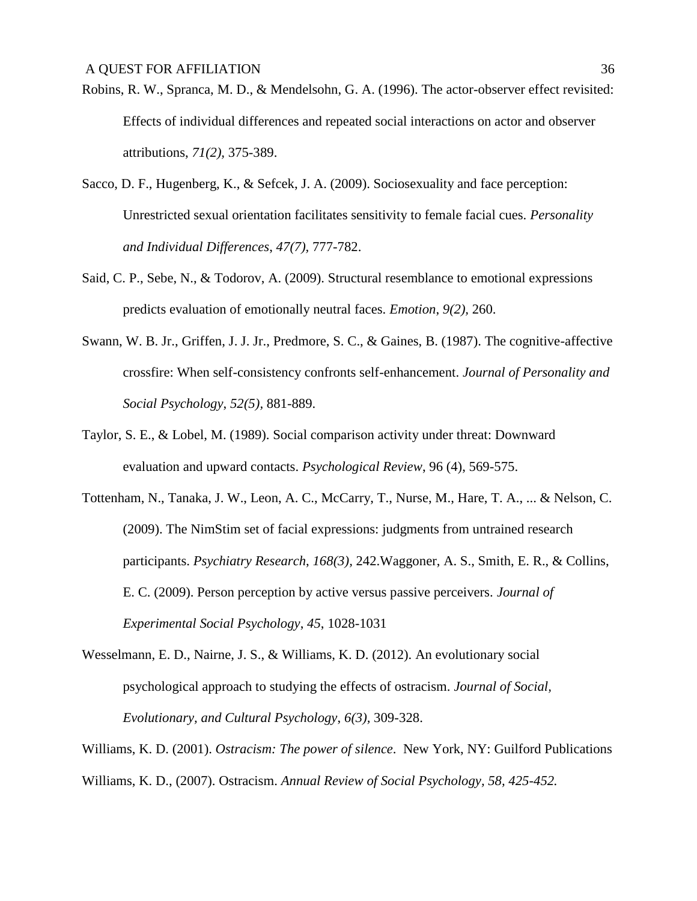- Robins, R. W., Spranca, M. D., & Mendelsohn, G. A. (1996). The actor-observer effect revisited: Effects of individual differences and repeated social interactions on actor and observer attributions, *71(2),* 375-389.
- Sacco, D. F., Hugenberg, K., & Sefcek, J. A. (2009). Sociosexuality and face perception: Unrestricted sexual orientation facilitates sensitivity to female facial cues. *Personality and Individual Differences*, *47(7),* 777-782.
- Said, C. P., Sebe, N., & Todorov, A. (2009). Structural resemblance to emotional expressions predicts evaluation of emotionally neutral faces. *Emotion*, *9(2),* 260.
- Swann, W. B. Jr., Griffen, J. J. Jr., Predmore, S. C., & Gaines, B. (1987). The cognitive-affective crossfire: When self-consistency confronts self-enhancement. *Journal of Personality and Social Psychology*, *52(5),* 881-889.
- Taylor, S. E., & Lobel, M. (1989). Social comparison activity under threat: Downward evaluation and upward contacts. *Psychological Review*, 96 (4), 569-575.
- Tottenham, N., Tanaka, J. W., Leon, A. C., McCarry, T., Nurse, M., Hare, T. A., ... & Nelson, C. (2009). The NimStim set of facial expressions: judgments from untrained research participants. *Psychiatry Research*, *168(3),* 242.Waggoner, A. S., Smith, E. R., & Collins, E. C. (2009). Person perception by active versus passive perceivers. *Journal of Experimental Social Psychology*, *45*, 1028-1031
- Wesselmann, E. D., Nairne, J. S., & Williams, K. D. (2012). An evolutionary social psychological approach to studying the effects of ostracism. *Journal of Social, Evolutionary, and Cultural Psychology*, *6(3),* 309-328.
- Williams, K. D. (2001). *Ostracism: The power of silence*. New York, NY: Guilford Publications Williams, K. D., (2007). Ostracism. *Annual Review of Social Psychology, 58, 425-452.*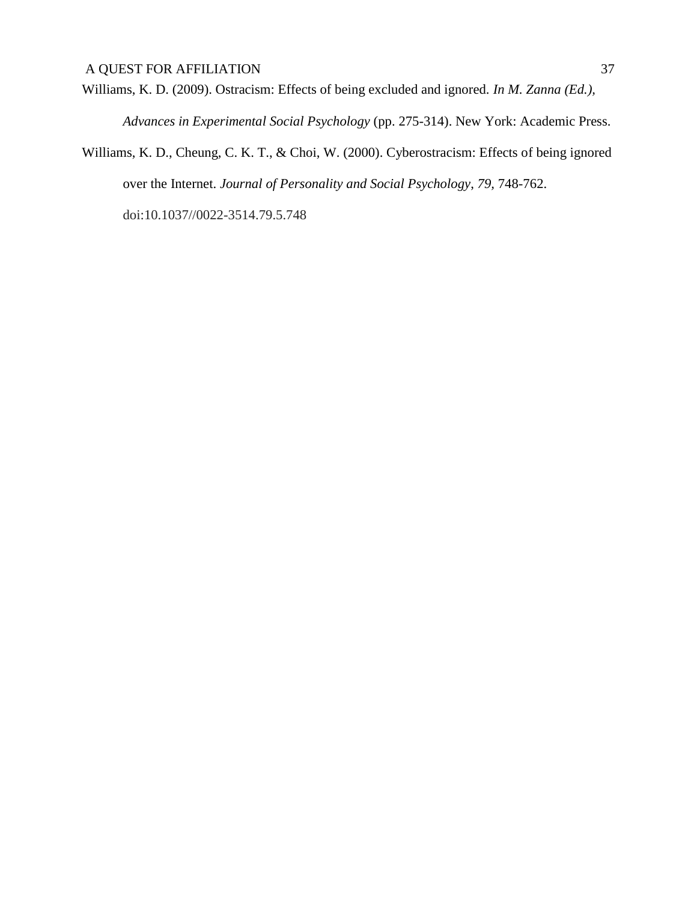Williams, K. D. (2009). Ostracism: Effects of being excluded and ignored. *In M. Zanna (Ed.), Advances in Experimental Social Psychology* (pp. 275-314). New York: Academic Press.

Williams, K. D., Cheung, C. K. T., & Choi, W. (2000). Cyberostracism: Effects of being ignored over the Internet. *Journal of Personality and Social Psychology*, *79,* 748-762.

doi:10.1037//0022-3514.79.5.748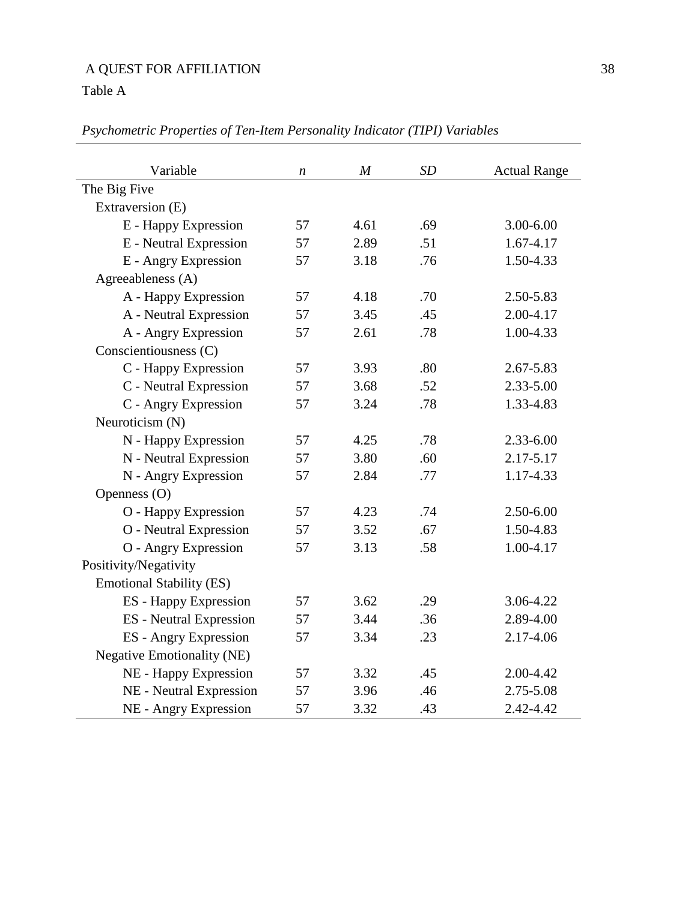Table A

| Variable                          | $\boldsymbol{n}$ | $\boldsymbol{M}$ | <b>SD</b> | <b>Actual Range</b> |  |  |
|-----------------------------------|------------------|------------------|-----------|---------------------|--|--|
| The Big Five                      |                  |                  |           |                     |  |  |
| Extraversion (E)                  |                  |                  |           |                     |  |  |
| E - Happy Expression              | 57               | 4.61             | .69       | 3.00-6.00           |  |  |
| E - Neutral Expression            | 57               | 2.89             | .51       | 1.67-4.17           |  |  |
| E - Angry Expression              | 57               | 3.18             | .76       | 1.50-4.33           |  |  |
| Agreeableness (A)                 |                  |                  |           |                     |  |  |
| A - Happy Expression              | 57               | 4.18             | .70       | 2.50-5.83           |  |  |
| A - Neutral Expression            | 57               | 3.45             | .45       | 2.00-4.17           |  |  |
| A - Angry Expression              | 57               | 2.61             | .78       | 1.00-4.33           |  |  |
| Conscientiousness (C)             |                  |                  |           |                     |  |  |
| C - Happy Expression              | 57               | 3.93             | .80       | 2.67-5.83           |  |  |
| C - Neutral Expression            | 57               | 3.68             | .52       | $2.33 - 5.00$       |  |  |
| C - Angry Expression              | 57               | 3.24             | .78       | 1.33-4.83           |  |  |
| Neuroticism (N)                   |                  |                  |           |                     |  |  |
| N - Happy Expression              | 57               | 4.25             | .78       | $2.33 - 6.00$       |  |  |
| N - Neutral Expression            | 57               | 3.80             | .60       | 2.17-5.17           |  |  |
| N - Angry Expression              | 57               | 2.84             | .77       | 1.17-4.33           |  |  |
| Openness (O)                      |                  |                  |           |                     |  |  |
| O - Happy Expression              | 57               | 4.23             | .74       | $2.50 - 6.00$       |  |  |
| O - Neutral Expression            | 57               | 3.52             | .67       | 1.50-4.83           |  |  |
| O - Angry Expression              | 57               | 3.13             | .58       | 1.00-4.17           |  |  |
| Positivity/Negativity             |                  |                  |           |                     |  |  |
| <b>Emotional Stability (ES)</b>   |                  |                  |           |                     |  |  |
| ES - Happy Expression             | 57               | 3.62             | .29       | 3.06-4.22           |  |  |
| <b>ES</b> - Neutral Expression    | 57               | 3.44             | .36       | 2.89-4.00           |  |  |
| <b>ES</b> - Angry Expression      | 57               | 3.34             | .23       | 2.17-4.06           |  |  |
| <b>Negative Emotionality (NE)</b> |                  |                  |           |                     |  |  |
| NE - Happy Expression             | 57               | 3.32             | .45       | 2.00-4.42           |  |  |
| NE - Neutral Expression           | 57               | 3.96             | .46       | 2.75-5.08           |  |  |
| NE - Angry Expression             | 57               | 3.32             | .43       | 2.42-4.42           |  |  |

*Psychometric Properties of Ten-Item Personality Indicator (TIPI) Variables*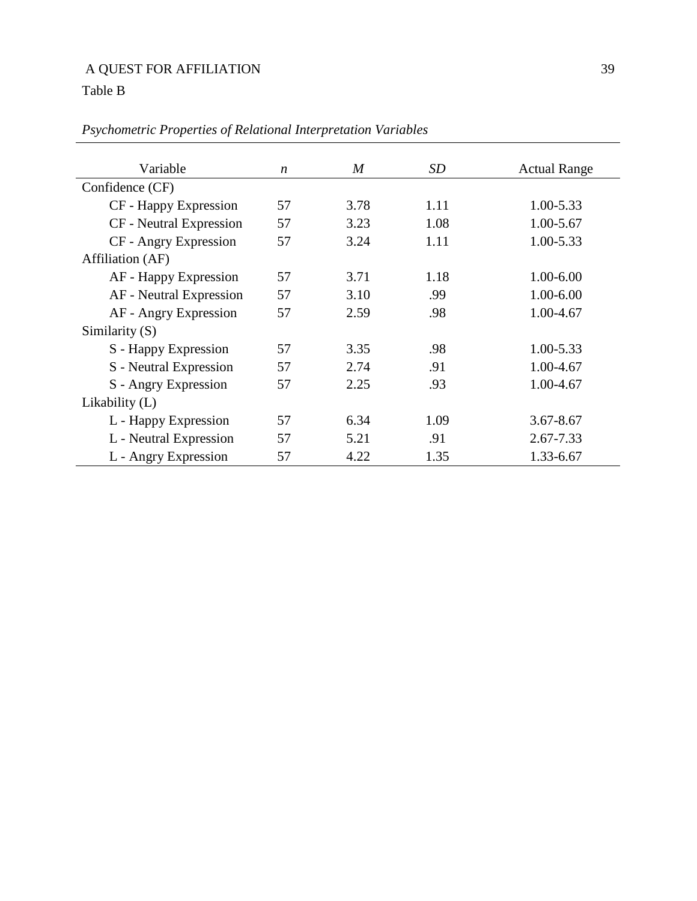# Table B

| Variable                |                  |                  |      |                     |  |  |
|-------------------------|------------------|------------------|------|---------------------|--|--|
|                         | $\boldsymbol{n}$ | $\boldsymbol{M}$ | SD   | <b>Actual Range</b> |  |  |
| Confidence (CF)         |                  |                  |      |                     |  |  |
| CF - Happy Expression   | 57               | 3.78             | 1.11 | 1.00-5.33           |  |  |
| CF - Neutral Expression | 57               | 3.23             | 1.08 | 1.00-5.67           |  |  |
| CF - Angry Expression   | 57               | 3.24             | 1.11 | 1.00-5.33           |  |  |
| Affiliation (AF)        |                  |                  |      |                     |  |  |
| AF - Happy Expression   | 57               | 3.71             | 1.18 | $1.00 - 6.00$       |  |  |
| AF - Neutral Expression | 57               | 3.10             | .99  | 1.00-6.00           |  |  |
| AF - Angry Expression   | 57               | 2.59             | .98  | 1.00-4.67           |  |  |
| Similarity $(S)$        |                  |                  |      |                     |  |  |
| S - Happy Expression    | 57               | 3.35             | .98  | 1.00-5.33           |  |  |
| S - Neutral Expression  | 57               | 2.74             | .91  | 1.00-4.67           |  |  |
| S - Angry Expression    | 57               | 2.25             | .93  | 1.00-4.67           |  |  |
| Likability $(L)$        |                  |                  |      |                     |  |  |
| L - Happy Expression    | 57               | 6.34             | 1.09 | $3.67 - 8.67$       |  |  |
| L - Neutral Expression  | 57               | 5.21             | .91  | 2.67-7.33           |  |  |
| L - Angry Expression    | 57               | 4.22             | 1.35 | 1.33-6.67           |  |  |

# *Psychometric Properties of Relational Interpretation Variables*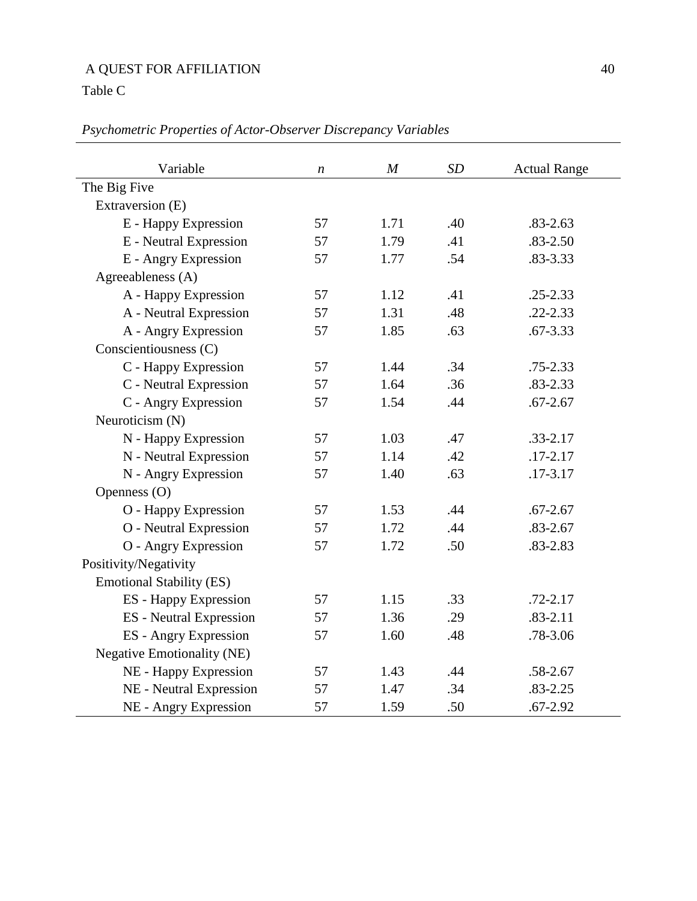Table C

| Variable                        | $\boldsymbol{n}$ | $\boldsymbol{M}$ | SD  | <b>Actual Range</b> |
|---------------------------------|------------------|------------------|-----|---------------------|
| The Big Five                    |                  |                  |     |                     |
| Extraversion (E)                |                  |                  |     |                     |
| E - Happy Expression            | 57               | 1.71             | .40 | $.83 - 2.63$        |
| E - Neutral Expression          | 57               | 1.79             | .41 | $.83 - 2.50$        |
| E - Angry Expression            | 57               | 1.77             | .54 | .83-3.33            |
| Agreeableness (A)               |                  |                  |     |                     |
| A - Happy Expression            | 57               | 1.12             | .41 | $.25 - 2.33$        |
| A - Neutral Expression          | 57               | 1.31             | .48 | $.22 - 2.33$        |
| A - Angry Expression            | 57               | 1.85             | .63 | $.67 - 3.33$        |
| Conscientiousness (C)           |                  |                  |     |                     |
| C - Happy Expression            | 57               | 1.44             | .34 | $.75 - 2.33$        |
| C - Neutral Expression          | 57               | 1.64             | .36 | $.83 - 2.33$        |
| C - Angry Expression            | 57               | 1.54             | .44 | $.67 - 2.67$        |
| Neuroticism (N)                 |                  |                  |     |                     |
| N - Happy Expression            | 57               | 1.03             | .47 | $.33 - 2.17$        |
| N - Neutral Expression          | 57               | 1.14             | .42 | $.17 - 2.17$        |
| N - Angry Expression            | 57               | 1.40             | .63 | .17-3.17            |
| Openness (O)                    |                  |                  |     |                     |
| O - Happy Expression            | 57               | 1.53             | .44 | $.67 - 2.67$        |
| O - Neutral Expression          | 57               | 1.72             | .44 | $.83 - 2.67$        |
| O - Angry Expression            | 57               | 1.72             | .50 | .83-2.83            |
| Positivity/Negativity           |                  |                  |     |                     |
| <b>Emotional Stability (ES)</b> |                  |                  |     |                     |
| <b>ES</b> - Happy Expression    | 57               | 1.15             | .33 | $.72 - 2.17$        |
| <b>ES</b> - Neutral Expression  | 57               | 1.36             | .29 | $.83 - 2.11$        |
| <b>ES</b> - Angry Expression    | 57               | 1.60             | .48 | .78-3.06            |
| Negative Emotionality (NE)      |                  |                  |     |                     |
| NE - Happy Expression           | 57               | 1.43             | .44 | .58-2.67            |
| NE - Neutral Expression         | 57               | 1.47             | .34 | $.83 - 2.25$        |
| NE - Angry Expression           | 57               | 1.59             | .50 | $.67 - 2.92$        |

*Psychometric Properties of Actor-Observer Discrepancy Variables*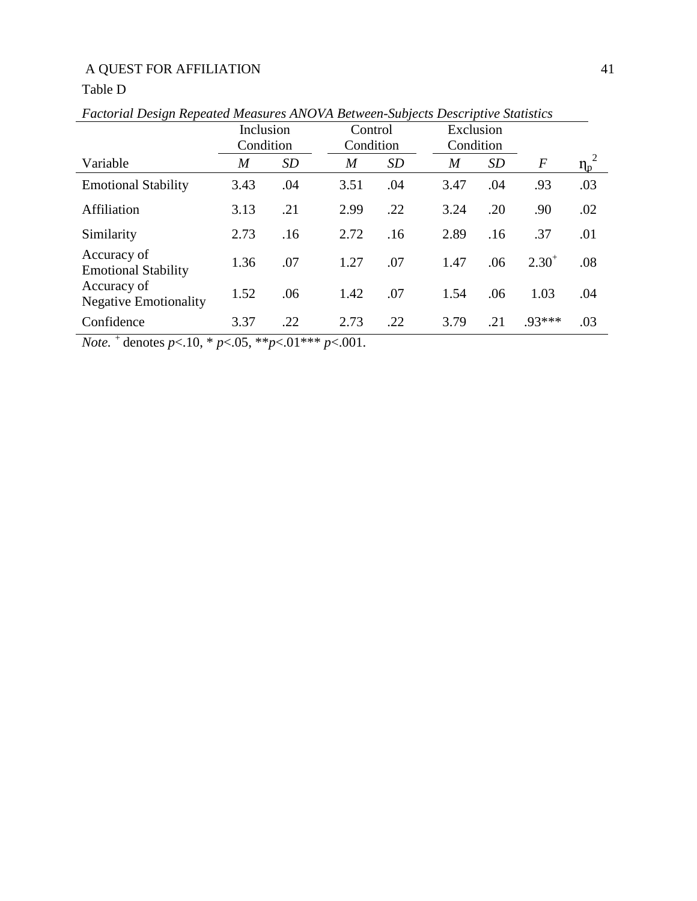## Table D

|                                             | Inclusion      |           | Control        |           |      | Exclusion |                |          |
|---------------------------------------------|----------------|-----------|----------------|-----------|------|-----------|----------------|----------|
|                                             | Condition      |           | Condition      |           |      | Condition |                |          |
| Variable                                    | $\overline{M}$ | <b>SD</b> | $\overline{M}$ | <i>SD</i> | M    | SD        | $\overline{F}$ | $\eta_p$ |
| <b>Emotional Stability</b>                  | 3.43           | .04       | 3.51           | .04       | 3.47 | .04       | .93            | .03      |
| Affiliation                                 | 3.13           | .21       | 2.99           | .22       | 3.24 | .20       | .90            | .02      |
| Similarity                                  | 2.73           | .16       | 2.72           | .16       | 2.89 | .16       | .37            | .01      |
| Accuracy of<br><b>Emotional Stability</b>   | 1.36           | .07       | 1.27           | .07       | 1.47 | .06       | $2.30^{+}$     | .08      |
| Accuracy of<br><b>Negative Emotionality</b> | 1.52           | .06       | 1.42           | .07       | 1.54 | .06       | 1.03           | .04      |
| Confidence                                  | 3.37           | .22       | 2.73           | .22       | 3.79 | .21       | $.93***$       | .03      |

*Factorial Design Repeated Measures ANOVA Between-Subjects Descriptive Statistics*

*Note. <sup>+</sup>*denotes *p*<.10, \* *p*<.05, \*\**p*<.01\*\*\* *p*<.001.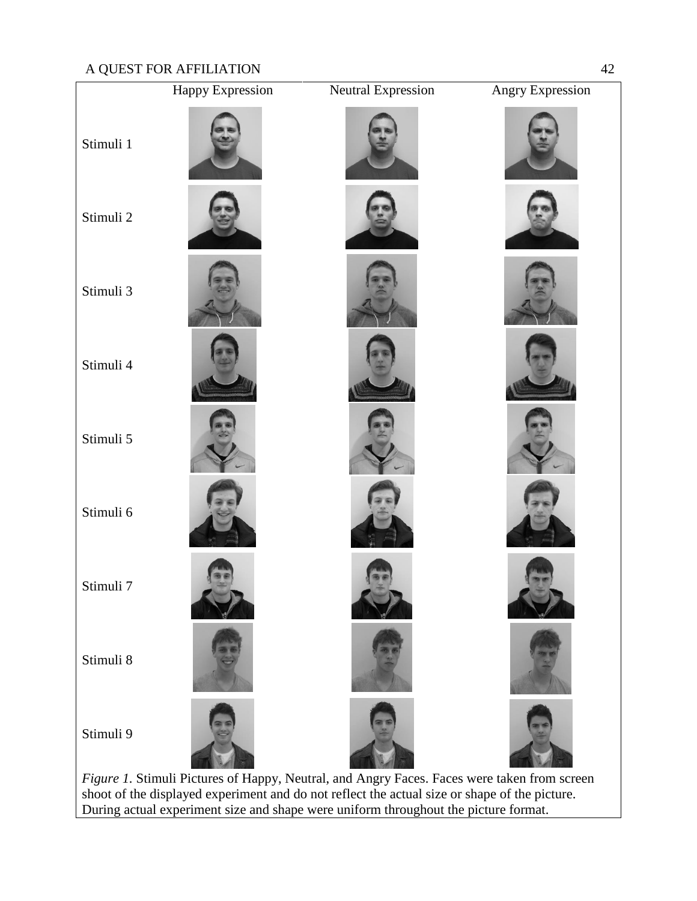

shoot of the displayed experiment and do not reflect the actual size or shape of the picture. During actual experiment size and shape were uniform throughout the picture format.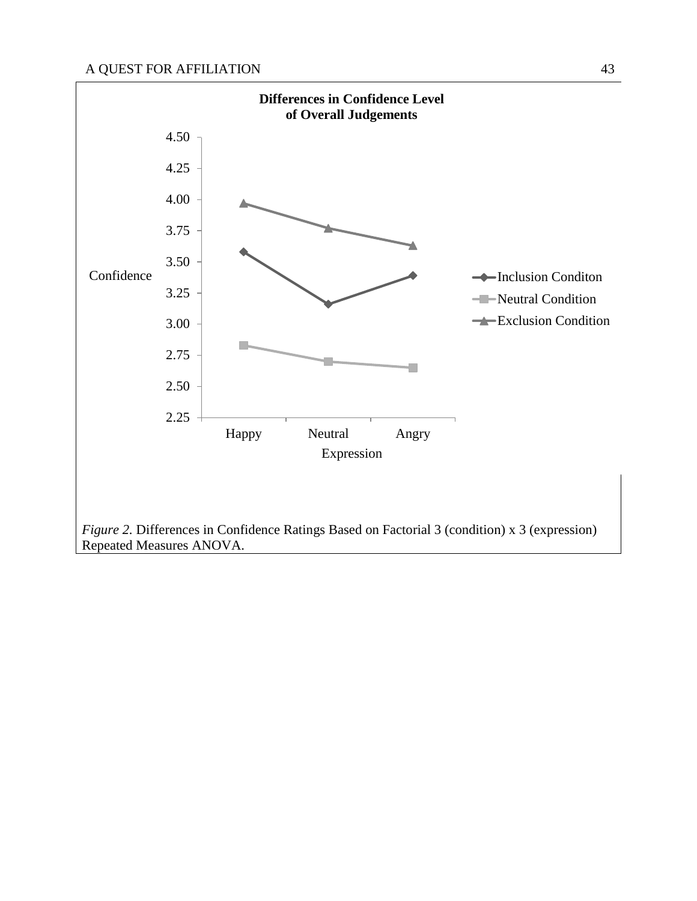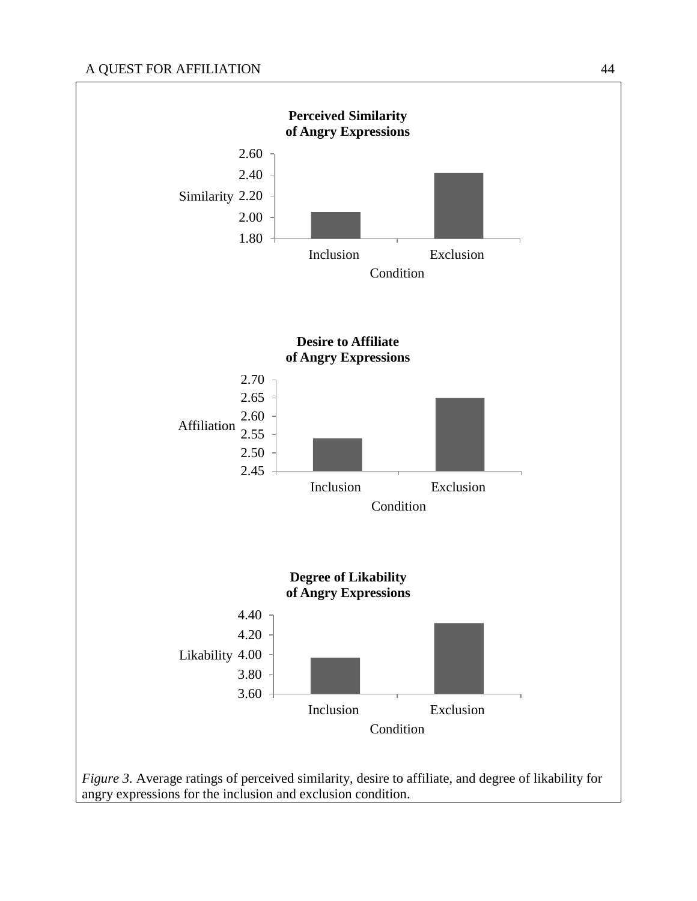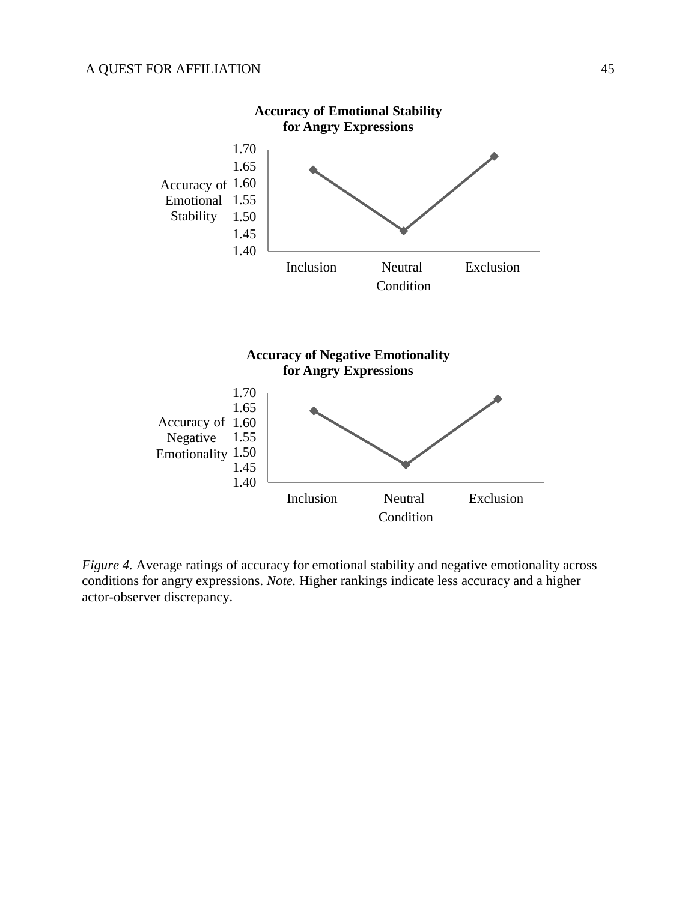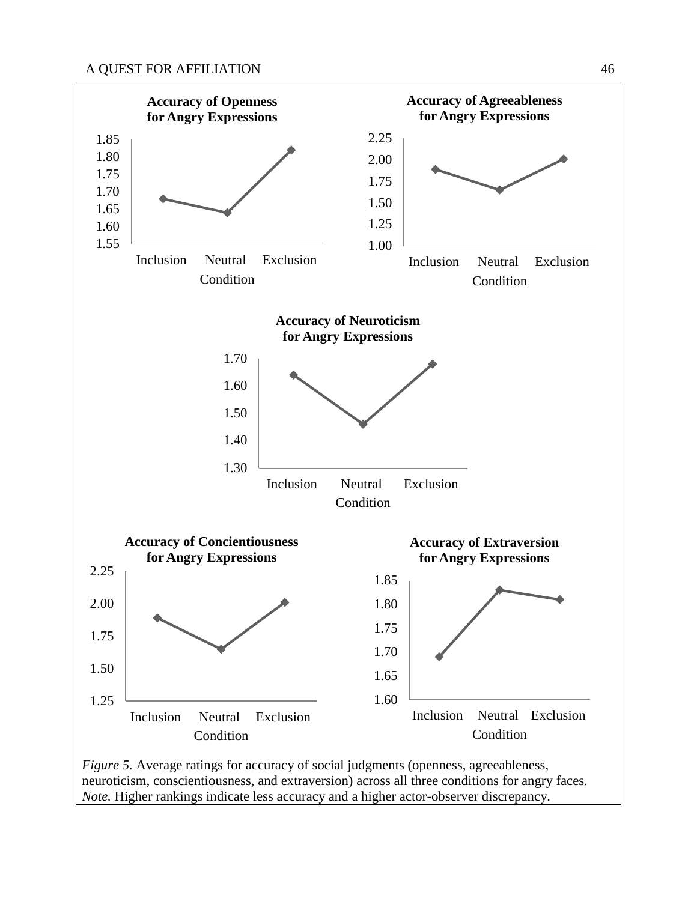

neuroticism, conscientiousness, and extraversion) across all three conditions for angry faces. *Note.* Higher rankings indicate less accuracy and a higher actor-observer discrepancy.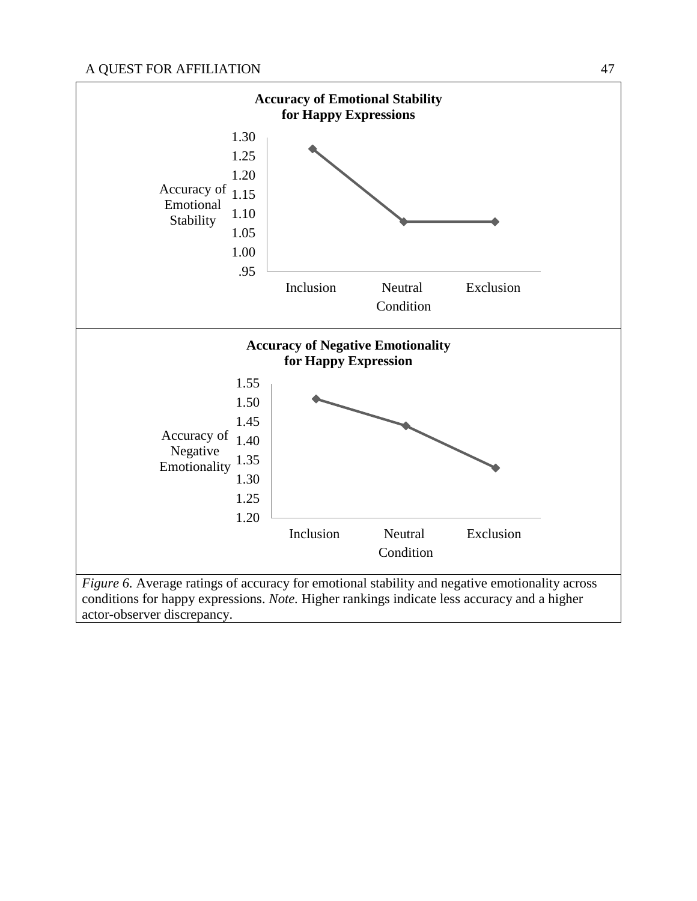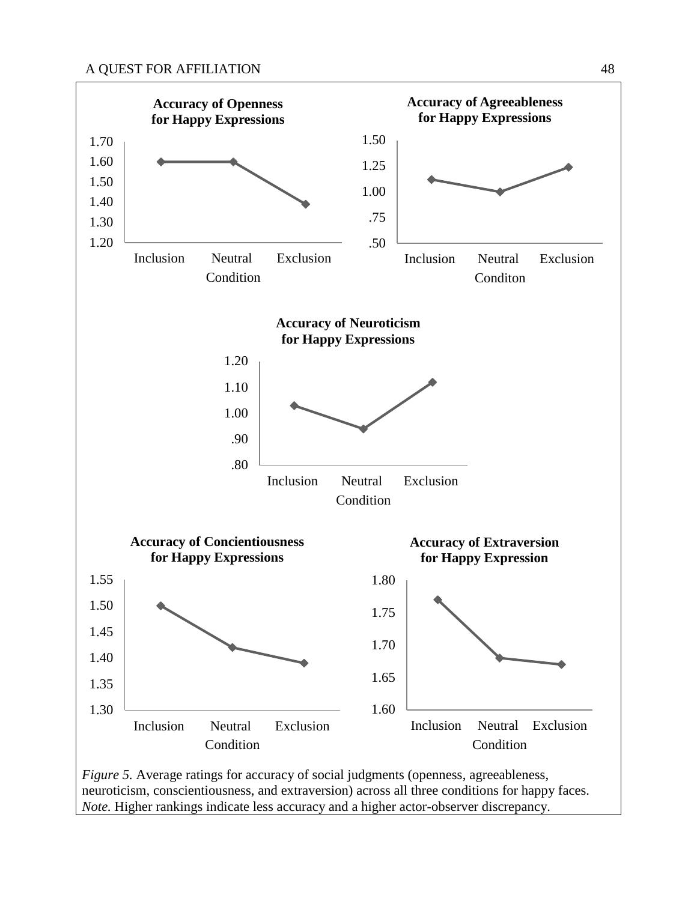

neuroticism, conscientiousness, and extraversion) across all three conditions for happy faces. *Note.* Higher rankings indicate less accuracy and a higher actor-observer discrepancy.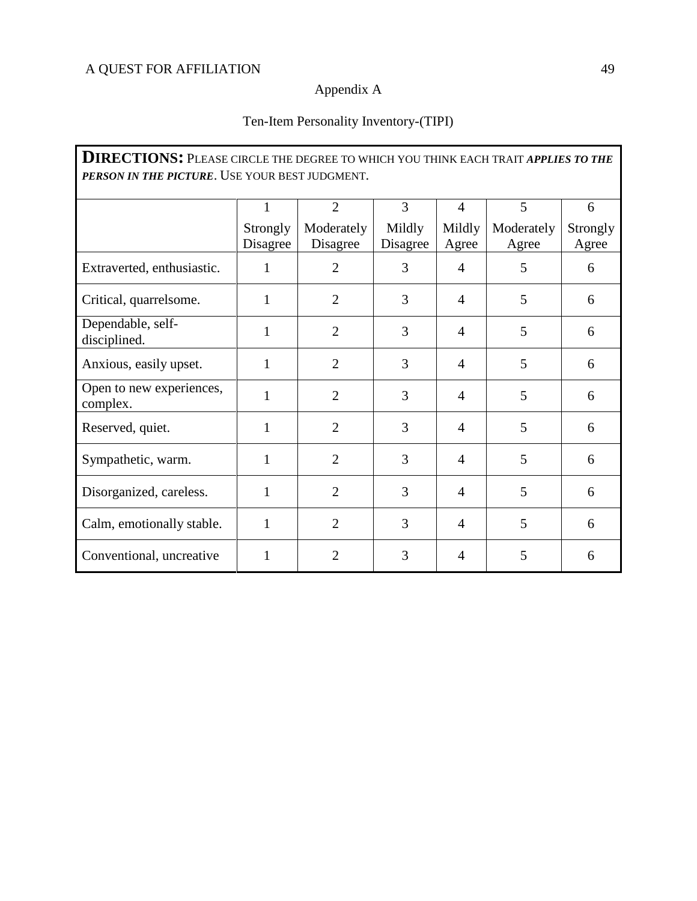#### Appendix A

## Ten-Item Personality Inventory-(TIPI)

**DIRECTIONS:** PLEASE CIRCLE THE DEGREE TO WHICH YOU THINK EACH TRAIT *APPLIES TO THE PERSON IN THE PICTURE*. USE YOUR BEST JUDGMENT. 1 Strongly Disagree 2 Moderately Disagree 3 Mildly Disagree 4 Mildly Agree 5 Moderately Agree 6 Strongly Agree Extraverted, enthusiastic.  $\begin{vmatrix} 1 & 2 & 3 & 4 & 5 \end{vmatrix}$  6 Critical, quarrelsome.  $\begin{vmatrix} 1 & 2 & 3 & 4 & 5 \end{vmatrix}$  6 Dependable, self-<br>disciplined. disciplined. <sup>1</sup> <sup>2</sup> <sup>3</sup> <sup>4</sup> <sup>5</sup> <sup>6</sup> Anxious, easily upset.  $\begin{array}{|c|c|c|c|c|c|c|c|c|} \hline 1 & 2 & 3 & 4 & 5 & 6 \ \hline \end{array}$ Open to new experiences, open to hew experiences,  $\begin{vmatrix} 1 & 2 & 3 \\ 4 & 5 \end{vmatrix}$  6 Reserved, quiet. 1 1 2 3 4 5 6 Sympathetic, warm. 1 2 3 4 5 6 Disorganized, careless.  $\begin{vmatrix} 1 & 2 & 3 & 4 & 5 \end{vmatrix}$  6 Calm, emotionally stable.  $\begin{vmatrix} 1 & 2 & 3 & 4 & 5 \end{vmatrix}$  6 Conventional, uncreative 1 2 3 4 5 6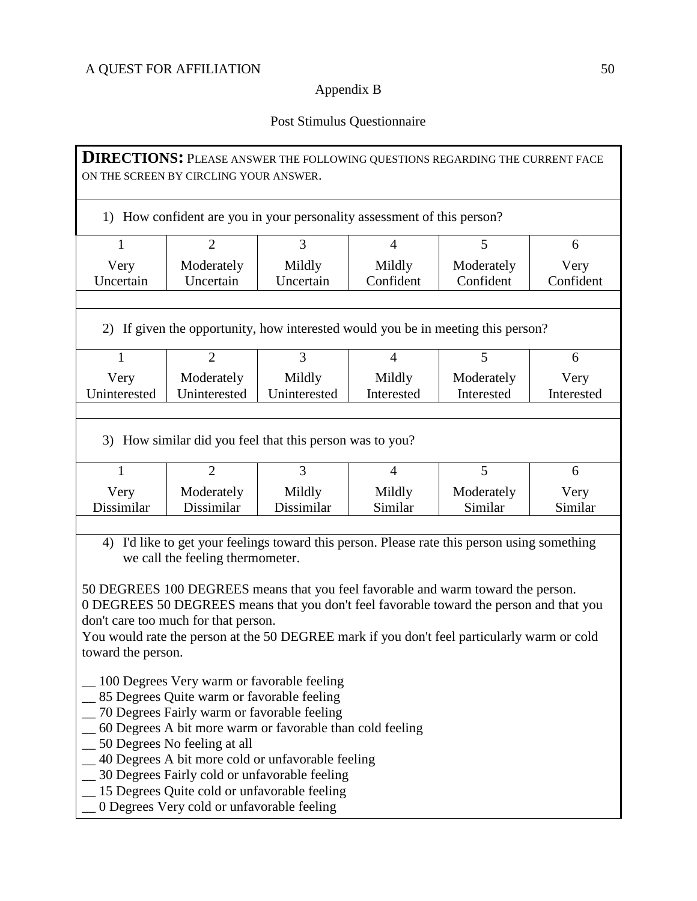# Appendix B

# Post Stimulus Questionnaire

| <b>DIRECTIONS:</b> PLEASE ANSWER THE FOLLOWING QUESTIONS REGARDING THE CURRENT FACE<br>ON THE SCREEN BY CIRCLING YOUR ANSWER.                                                                                                                                                                                                                                                                                                                                                   |                                                                                  |                                        |                                     |                            |                      |  |  |  |  |  |
|---------------------------------------------------------------------------------------------------------------------------------------------------------------------------------------------------------------------------------------------------------------------------------------------------------------------------------------------------------------------------------------------------------------------------------------------------------------------------------|----------------------------------------------------------------------------------|----------------------------------------|-------------------------------------|----------------------------|----------------------|--|--|--|--|--|
| 1) How confident are you in your personality assessment of this person?                                                                                                                                                                                                                                                                                                                                                                                                         |                                                                                  |                                        |                                     |                            |                      |  |  |  |  |  |
| 3<br>$\overline{2}$<br>5<br>1<br>4<br>6                                                                                                                                                                                                                                                                                                                                                                                                                                         |                                                                                  |                                        |                                     |                            |                      |  |  |  |  |  |
| Very                                                                                                                                                                                                                                                                                                                                                                                                                                                                            | Moderately<br>Mildly<br>Mildly<br>Moderately                                     |                                        |                                     |                            |                      |  |  |  |  |  |
| Uncertain<br>Confident<br>Confident<br>Confident<br>Uncertain<br>Uncertain                                                                                                                                                                                                                                                                                                                                                                                                      |                                                                                  |                                        |                                     |                            |                      |  |  |  |  |  |
|                                                                                                                                                                                                                                                                                                                                                                                                                                                                                 | 2) If given the opportunity, how interested would you be in meeting this person? |                                        |                                     |                            |                      |  |  |  |  |  |
| $\mathbf{1}$                                                                                                                                                                                                                                                                                                                                                                                                                                                                    | $\overline{2}$                                                                   | 3                                      | $\overline{4}$                      | 5                          | 6                    |  |  |  |  |  |
| Very                                                                                                                                                                                                                                                                                                                                                                                                                                                                            | Moderately                                                                       | Mildly                                 | Mildly                              | Moderately                 | Very                 |  |  |  |  |  |
| Uninterested                                                                                                                                                                                                                                                                                                                                                                                                                                                                    | Uninterested                                                                     | Uninterested                           | Interested                          | Interested                 | Interested           |  |  |  |  |  |
| $\mathbf{1}$<br>Very<br>Dissimilar                                                                                                                                                                                                                                                                                                                                                                                                                                              | $\overline{2}$<br>Moderately<br>Dissimilar                                       | $\overline{3}$<br>Mildly<br>Dissimilar | $\overline{4}$<br>Mildly<br>Similar | 5<br>Moderately<br>Similar | 6<br>Very<br>Similar |  |  |  |  |  |
|                                                                                                                                                                                                                                                                                                                                                                                                                                                                                 |                                                                                  |                                        |                                     |                            |                      |  |  |  |  |  |
| I'd like to get your feelings toward this person. Please rate this person using something<br>4)<br>we call the feeling thermometer.<br>50 DEGREES 100 DEGREES means that you feel favorable and warm toward the person.<br>0 DEGREES 50 DEGREES means that you don't feel favorable toward the person and that you<br>don't care too much for that person.<br>You would rate the person at the 50 DEGREE mark if you don't feel particularly warm or cold<br>toward the person. |                                                                                  |                                        |                                     |                            |                      |  |  |  |  |  |
| 100 Degrees Very warm or favorable feeling<br>_85 Degrees Quite warm or favorable feeling<br>_70 Degrees Fairly warm or favorable feeling<br>60 Degrees A bit more warm or favorable than cold feeling<br>_50 Degrees No feeling at all<br>_40 Degrees A bit more cold or unfavorable feeling<br>_30 Degrees Fairly cold or unfavorable feeling<br>_15 Degrees Quite cold or unfavorable feeling<br>_0 Degrees Very cold or unfavorable feeling                                 |                                                                                  |                                        |                                     |                            |                      |  |  |  |  |  |